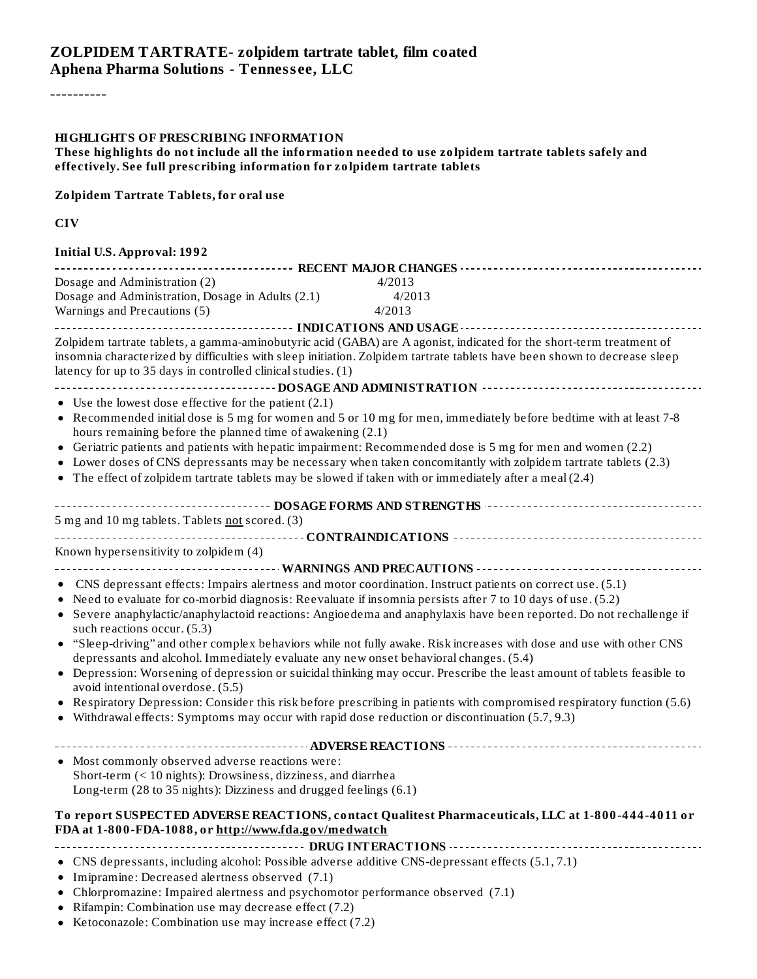#### **ZOLPIDEM TARTRATE- zolpidem tartrate tablet, film coated Aphena Pharma Solutions - Tenness ee, LLC**

----------

#### **HIGHLIGHTS OF PRESCRIBING INFORMATION**

#### **These highlights do not include all the information needed to use zolpidem tartrate tablets safely and effectively. See full prescribing information for zolpidem tartrate tablets**

**Zolpidem Tartrate Tablets, for oral use**

**CIV**

#### **Initial U.S. Approval: 1992**

| Dosage and Administration (2)<br>4/2013                                                                                                                                                                                                                                                                            |
|--------------------------------------------------------------------------------------------------------------------------------------------------------------------------------------------------------------------------------------------------------------------------------------------------------------------|
| Dosage and Administration, Dosage in Adults (2.1)<br>4/2013                                                                                                                                                                                                                                                        |
| Warnings and Precautions (5)<br>4/2013                                                                                                                                                                                                                                                                             |
|                                                                                                                                                                                                                                                                                                                    |
| Zolpidem tartrate tablets, a gamma-aminobutyric acid (GABA) are A agonist, indicated for the short-term treatment of<br>insomnia characterized by difficulties with sleep initiation. Zolpidem tartrate tablets have been shown to decrease sleep<br>latency for up to 35 days in controlled clinical studies. (1) |
| ----- DOSAGE AND ADMINISTRATION -----------------------------------<br>----------------                                                                                                                                                                                                                            |
| • Use the lowest dose effective for the patient $(2.1)$                                                                                                                                                                                                                                                            |
| • Recommended initial dose is 5 mg for women and 5 or 10 mg for men, immediately before bedtime with at least 7-8<br>hours remaining before the planned time of awakening (2.1)                                                                                                                                    |
| Geriatric patients and patients with hepatic impairment: Recommended dose is 5 mg for men and women (2.2)<br>$\bullet$                                                                                                                                                                                             |
| Lower doses of CNS depressants may be necessary when taken concomitantly with zolpidem tartrate tablets (2.3)<br>• The effect of zolpidem tartrate tablets may be slowed if taken with or immediately after a meal (2.4)                                                                                           |
|                                                                                                                                                                                                                                                                                                                    |
|                                                                                                                                                                                                                                                                                                                    |
| 5 mg and 10 mg tablets. Tablets not scored. (3)                                                                                                                                                                                                                                                                    |
|                                                                                                                                                                                                                                                                                                                    |
| Known hypersensitivity to zolpidem (4)                                                                                                                                                                                                                                                                             |
|                                                                                                                                                                                                                                                                                                                    |
| • CNS depressant effects: Impairs alertness and motor coordination. Instruct patients on correct use. (5.1)                                                                                                                                                                                                        |
| • Need to evaluate for co-morbid diagnosis: Reevaluate if insomnia persists after 7 to 10 days of use. (5.2)                                                                                                                                                                                                       |
| Severe anaphylactic/anaphylactoid reactions: Angioedema and anaphylaxis have been reported. Do not rechallenge if<br>such reactions occur. (5.3)                                                                                                                                                                   |
| • "Sleep-driving" and other complex behaviors while not fully awake. Risk increases with dose and use with other CNS<br>depressants and alcohol. Immediately evaluate any new onset behavioral changes. (5.4)                                                                                                      |
| • Depression: Worsening of depression or suicidal thinking may occur. Prescribe the least amount of tablets feasible to<br>avoid intentional overdose. (5.5)                                                                                                                                                       |
| Respiratory Depression: Consider this risk before prescribing in patients with compromised respiratory function (5.6)<br>Withdrawal effects: Symptoms may occur with rapid dose reduction or discontinuation (5.7, 9.3)                                                                                            |
|                                                                                                                                                                                                                                                                                                                    |
| • Most commonly observed adverse reactions were:                                                                                                                                                                                                                                                                   |
| Short-term (< 10 nights): Drowsiness, dizziness, and diarrhea                                                                                                                                                                                                                                                      |
| Long-term (28 to 35 nights): Dizziness and drugged feelings (6.1)                                                                                                                                                                                                                                                  |
| To report SUSPECTED ADVERSE REACTIONS, contact Qualitest Pharmaceuticals, LLC at 1-800-444-4011 or<br>FDA at 1-800-FDA-1088, or http://www.fda.gov/medwatch                                                                                                                                                        |
|                                                                                                                                                                                                                                                                                                                    |
| • CNS depressants, including alcohol: Possible adverse additive CNS-depressant effects (5.1, 7.1)                                                                                                                                                                                                                  |
| Imipramine: Decreased alertness observed (7.1)<br>٠                                                                                                                                                                                                                                                                |
| Chlorpromazine: Impaired alertness and psychomotor performance observed (7.1)<br>٠                                                                                                                                                                                                                                 |
| • Rifampin: Combination use may decrease effect (7.2)                                                                                                                                                                                                                                                              |

• Ketoconazole: Combination use may increase effect (7.2)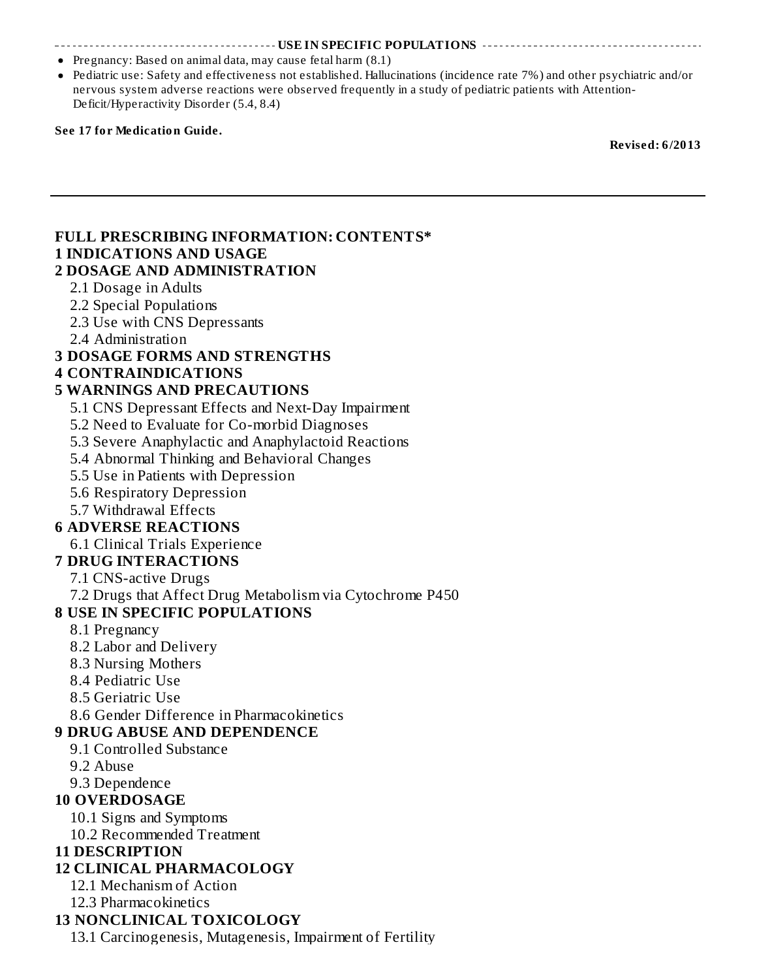#### **USE IN SPECIFIC POPULATIONS**

- Pregnancy: Based on animal data, may cause fetal harm (8.1)
- Pediatric use: Safety and effectiveness not established. Hallucinations (incidence rate 7%) and other psychiatric and/or nervous system adverse reactions were observed frequently in a study of pediatric patients with Attention-Deficit/Hyperactivity Disorder (5.4, 8.4)

#### **See 17 for Medication Guide.**

**Revised: 6/2013**

#### **FULL PRESCRIBING INFORMATION: CONTENTS\* 1 INDICATIONS AND USAGE 2 DOSAGE AND ADMINISTRATION** 2.1 Dosage in Adults 2.2 Special Populations 2.3 Use with CNS Depressants 2.4 Administration **3 DOSAGE FORMS AND STRENGTHS 4 CONTRAINDICATIONS 5 WARNINGS AND PRECAUTIONS** 5.1 CNS Depressant Effects and Next-Day Impairment 5.2 Need to Evaluate for Co-morbid Diagnoses 5.3 Severe Anaphylactic and Anaphylactoid Reactions 5.4 Abnormal Thinking and Behavioral Changes 5.5 Use in Patients with Depression 5.6 Respiratory Depression 5.7 Withdrawal Effects **6 ADVERSE REACTIONS** 6.1 Clinical Trials Experience **7 DRUG INTERACTIONS** 7.1 CNS-active Drugs 7.2 Drugs that Affect Drug Metabolism via Cytochrome P450 **8 USE IN SPECIFIC POPULATIONS** 8.1 Pregnancy 8.2 Labor and Delivery 8.3 Nursing Mothers 8.4 Pediatric Use 8.5 Geriatric Use 8.6 Gender Difference in Pharmacokinetics **9 DRUG ABUSE AND DEPENDENCE** 9.1 Controlled Substance 9.2 Abuse 9.3 Dependence **10 OVERDOSAGE** 10.1 Signs and Symptoms 10.2 Recommended Treatment **11 DESCRIPTION 12 CLINICAL PHARMACOLOGY** 12.1 Mechanism of Action

12.3 Pharmacokinetics

#### **13 NONCLINICAL TOXICOLOGY**

13.1 Carcinogenesis, Mutagenesis, Impairment of Fertility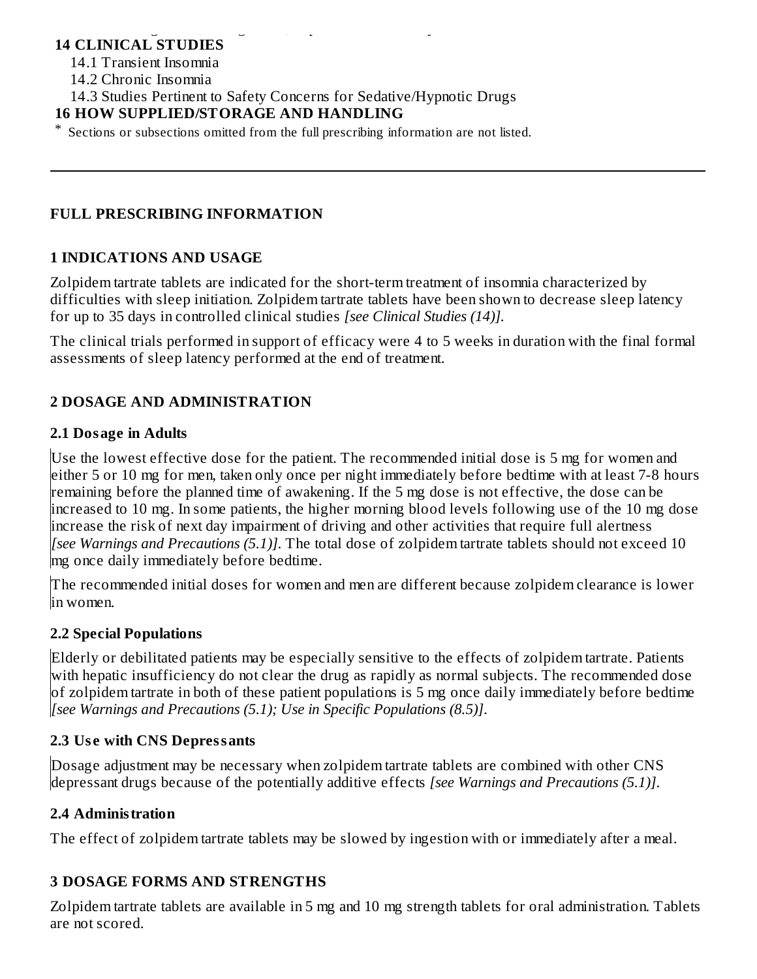#### 13.1 Carcinogenesis, Mutagenesis, Impairment of Fertility **14 CLINICAL STUDIES**

14.1 Transient Insomnia

14.2 Chronic Insomnia

14.3 Studies Pertinent to Safety Concerns for Sedative/Hypnotic Drugs

#### **16 HOW SUPPLIED/STORAGE AND HANDLING**

\* Sections or subsections omitted from the full prescribing information are not listed.

#### **FULL PRESCRIBING INFORMATION**

#### **1 INDICATIONS AND USAGE**

Zolpidem tartrate tablets are indicated for the short-term treatment of insomnia characterized by difficulties with sleep initiation. Zolpidem tartrate tablets have been shown to decrease sleep latency for up to 35 days in controlled clinical studies *[see Clinical Studies (14)].*

The clinical trials performed in support of efficacy were 4 to 5 weeks in duration with the final formal assessments of sleep latency performed at the end of treatment.

#### **2 DOSAGE AND ADMINISTRATION**

#### **2.1 Dosage in Adults**

Use the lowest effective dose for the patient. The recommended initial dose is 5 mg for women and either 5 or 10 mg for men, taken only once per night immediately before bedtime with at least 7-8 hours remaining before the planned time of awakening. If the 5 mg dose is not effective, the dose can be increased to 10 mg. In some patients, the higher morning blood levels following use of the 10 mg dose increase the risk of next day impairment of driving and other activities that require full alertness *[see Warnings and Precautions (5.1)]*. The total dose of zolpidem tartrate tablets should not exceed 10 mg once daily immediately before bedtime.

The recommended initial doses for women and men are different because zolpidem clearance is lower in women.

#### **2.2 Special Populations**

Elderly or debilitated patients may be especially sensitive to the effects of zolpidem tartrate. Patients with hepatic insufficiency do not clear the drug as rapidly as normal subjects. The recommended dose of zolpidem tartrate in both of these patient populations is 5 mg once daily immediately before bedtime *[see Warnings and Precautions (5.1); Use in Specific Populations (8.5)]*.

#### **2.3 Us e with CNS Depressants**

Dosage adjustment may be necessary when zolpidem tartrate tablets are combined with other CNS depressant drugs because of the potentially additive effects *[see Warnings and Precautions (5.1)]*.

#### **2.4 Administration**

The effect of zolpidem tartrate tablets may be slowed by ingestion with or immediately after a meal.

#### **3 DOSAGE FORMS AND STRENGTHS**

Zolpidem tartrate tablets are available in 5 mg and 10 mg strength tablets for oral administration. Tablets are not scored.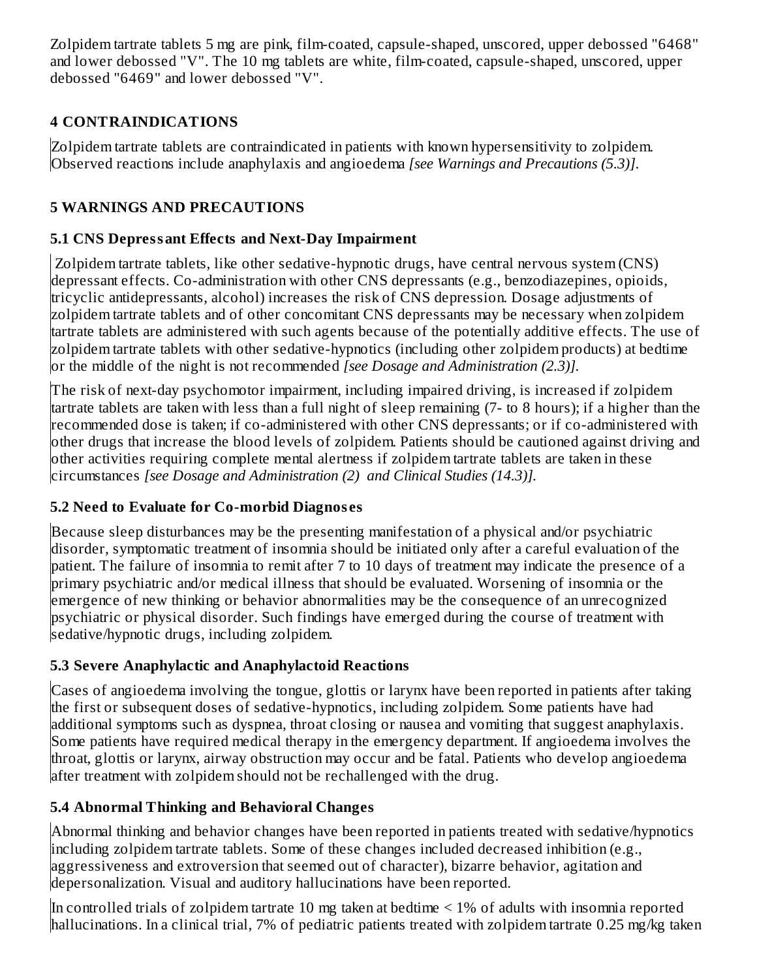Zolpidem tartrate tablets 5 mg are pink, film-coated, capsule-shaped, unscored, upper debossed "6468" and lower debossed "V". The 10 mg tablets are white, film-coated, capsule-shaped, unscored, upper debossed "6469" and lower debossed "V".

## **4 CONTRAINDICATIONS**

Zolpidem tartrate tablets are contraindicated in patients with known hypersensitivity to zolpidem. Observed reactions include anaphylaxis and angioedema *[see Warnings and Precautions (5.3)]*.

# **5 WARNINGS AND PRECAUTIONS**

## **5.1 CNS Depressant Effects and Next-Day Impairment**

Zolpidem tartrate tablets, like other sedative-hypnotic drugs, have central nervous system (CNS) depressant effects. Co-administration with other CNS depressants (e.g., benzodiazepines, opioids, tricyclic antidepressants, alcohol) increases the risk of CNS depression. Dosage adjustments of zolpidem tartrate tablets and of other concomitant CNS depressants may be necessary when zolpidem tartrate tablets are administered with such agents because of the potentially additive effects. The use of zolpidem tartrate tablets with other sedative-hypnotics (including other zolpidem products) at bedtime or the middle of the night is not recommended *[see Dosage and Administration (2.3)].*

The risk of next-day psychomotor impairment, including impaired driving, is increased if zolpidem tartrate tablets are taken with less than a full night of sleep remaining (7- to 8 hours); if a higher than the recommended dose is taken; if co-administered with other CNS depressants; or if co-administered with other drugs that increase the blood levels of zolpidem. Patients should be cautioned against driving and other activities requiring complete mental alertness if zolpidem tartrate tablets are taken in these circumstances *[see Dosage and Administration (2) and Clinical Studies (14.3)].*

## **5.2 Need to Evaluate for Co-morbid Diagnos es**

Because sleep disturbances may be the presenting manifestation of a physical and/or psychiatric disorder, symptomatic treatment of insomnia should be initiated only after a careful evaluation of the patient. The failure of insomnia to remit after 7 to 10 days of treatment may indicate the presence of a primary psychiatric and/or medical illness that should be evaluated. Worsening of insomnia or the emergence of new thinking or behavior abnormalities may be the consequence of an unrecognized psychiatric or physical disorder. Such findings have emerged during the course of treatment with sedative/hypnotic drugs, including zolpidem.

## **5.3 Severe Anaphylactic and Anaphylactoid Reactions**

Cases of angioedema involving the tongue, glottis or larynx have been reported in patients after taking the first or subsequent doses of sedative-hypnotics, including zolpidem. Some patients have had additional symptoms such as dyspnea, throat closing or nausea and vomiting that suggest anaphylaxis. Some patients have required medical therapy in the emergency department. If angioedema involves the throat, glottis or larynx, airway obstruction may occur and be fatal. Patients who develop angioedema after treatment with zolpidem should not be rechallenged with the drug.

# **5.4 Abnormal Thinking and Behavioral Changes**

Abnormal thinking and behavior changes have been reported in patients treated with sedative/hypnotics including zolpidem tartrate tablets. Some of these changes included decreased inhibition (e.g., aggressiveness and extroversion that seemed out of character), bizarre behavior, agitation and depersonalization. Visual and auditory hallucinations have been reported.

In controlled trials of zolpidem tartrate 10 mg taken at bedtime  $\leq$  1% of adults with insomnia reported hallucinations. In a clinical trial, 7% of pediatric patients treated with zolpidem tartrate 0.25 mg/kg taken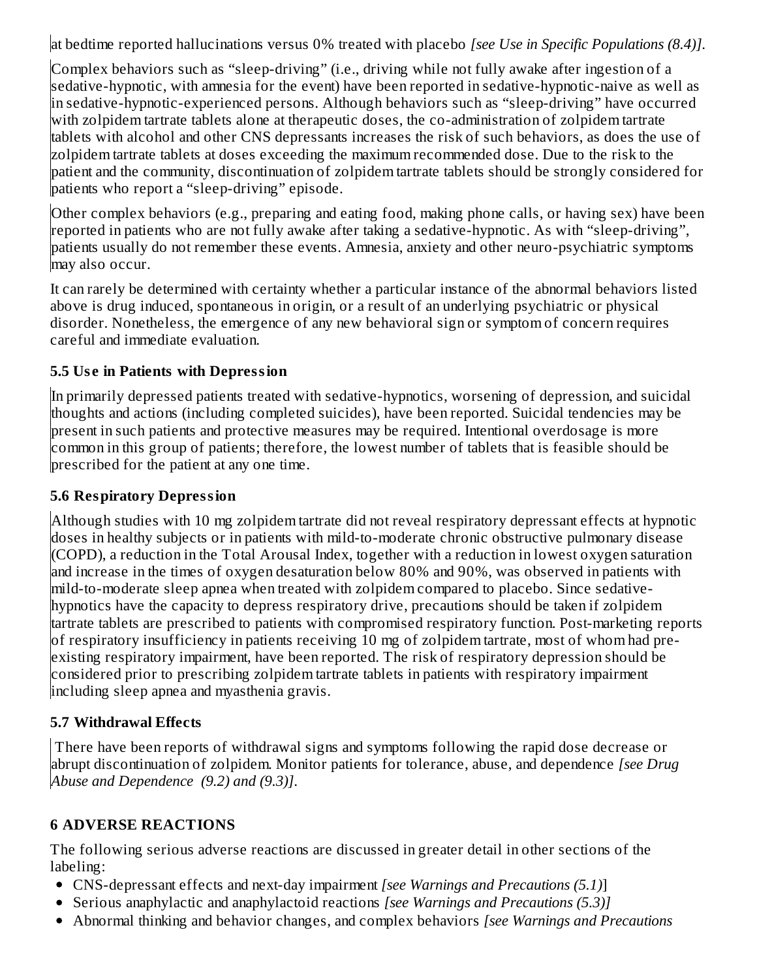at bedtime reported hallucinations versus 0% treated with placebo *[see Use in Specific Populations (8.4)]*.

Complex behaviors such as "sleep-driving" (i.e., driving while not fully awake after ingestion of a sedative-hypnotic, with amnesia for the event) have been reported in sedative-hypnotic-naive as well as in sedative-hypnotic-experienced persons. Although behaviors such as "sleep-driving" have occurred with zolpidem tartrate tablets alone at therapeutic doses, the co-administration of zolpidem tartrate tablets with alcohol and other CNS depressants increases the risk of such behaviors, as does the use of zolpidem tartrate tablets at doses exceeding the maximum recommended dose. Due to the risk to the patient and the community, discontinuation of zolpidem tartrate tablets should be strongly considered for patients who report a "sleep-driving" episode.

Other complex behaviors (e.g., preparing and eating food, making phone calls, or having sex) have been reported in patients who are not fully awake after taking a sedative-hypnotic. As with "sleep-driving", patients usually do not remember these events. Amnesia, anxiety and other neuro-psychiatric symptoms may also occur.

It can rarely be determined with certainty whether a particular instance of the abnormal behaviors listed above is drug induced, spontaneous in origin, or a result of an underlying psychiatric or physical disorder. Nonetheless, the emergence of any new behavioral sign or symptom of concern requires careful and immediate evaluation.

## **5.5 Us e in Patients with Depression**

In primarily depressed patients treated with sedative-hypnotics, worsening of depression, and suicidal thoughts and actions (including completed suicides), have been reported. Suicidal tendencies may be present in such patients and protective measures may be required. Intentional overdosage is more common in this group of patients; therefore, the lowest number of tablets that is feasible should be prescribed for the patient at any one time.

## **5.6 Respiratory Depression**

Although studies with 10 mg zolpidem tartrate did not reveal respiratory depressant effects at hypnotic doses in healthy subjects or in patients with mild-to-moderate chronic obstructive pulmonary disease (COPD), a reduction in the Total Arousal Index, together with a reduction in lowest oxygen saturation and increase in the times of oxygen desaturation below 80% and 90%, was observed in patients with mild-to-moderate sleep apnea when treated with zolpidem compared to placebo. Since sedativehypnotics have the capacity to depress respiratory drive, precautions should be taken if zolpidem tartrate tablets are prescribed to patients with compromised respiratory function. Post-marketing reports of respiratory insufficiency in patients receiving 10 mg of zolpidem tartrate, most of whom had preexisting respiratory impairment, have been reported. The risk of respiratory depression should be considered prior to prescribing zolpidem tartrate tablets in patients with respiratory impairment including sleep apnea and myasthenia gravis.

## **5.7 Withdrawal Effects**

There have been reports of withdrawal signs and symptoms following the rapid dose decrease or abrupt discontinuation of zolpidem. Monitor patients for tolerance, abuse, and dependence *[see Drug Abuse and Dependence (9.2) and (9.3)]*.

## **6 ADVERSE REACTIONS**

The following serious adverse reactions are discussed in greater detail in other sections of the labeling:

- CNS-depressant effects and next-day impairment *[see Warnings and Precautions (5.1)*]
- Serious anaphylactic and anaphylactoid reactions *[see Warnings and Precautions (5.3)]*
- Abnormal thinking and behavior changes, and complex behaviors *[see Warnings and Precautions*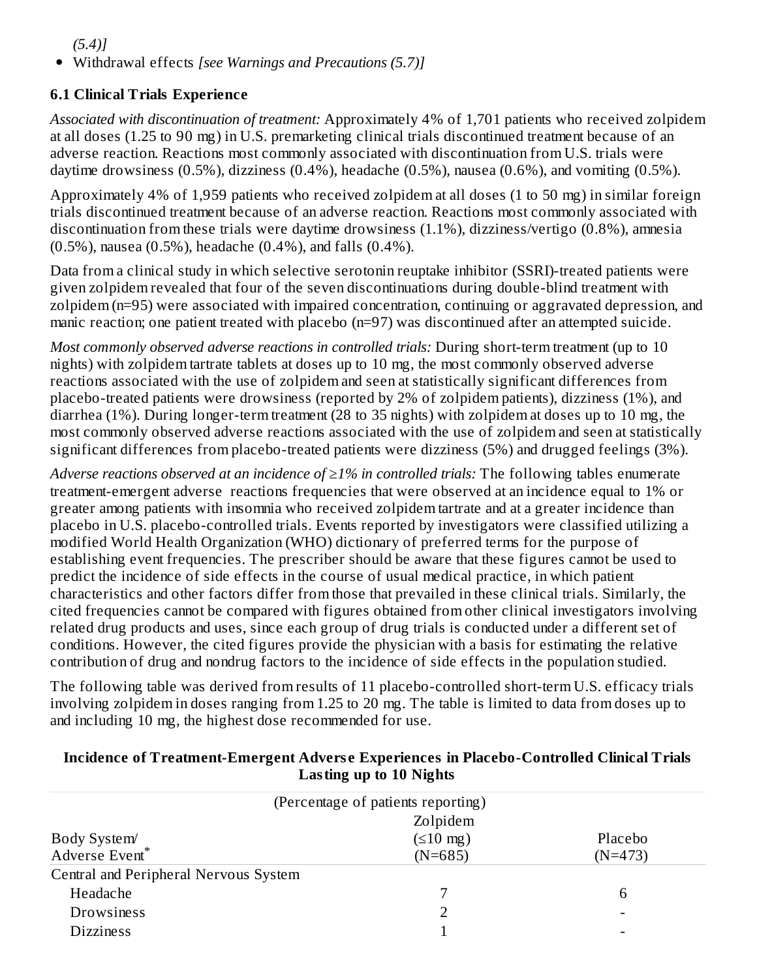*(5.4)]*

Withdrawal effects *[see Warnings and Precautions (5.7)]*

## **6.1 Clinical Trials Experience**

*Associated with discontinuation of treatment:* Approximately 4% of 1,701 patients who received zolpidem at all doses (1.25 to 90 mg) in U.S. premarketing clinical trials discontinued treatment because of an adverse reaction. Reactions most commonly associated with discontinuation from U.S. trials were daytime drowsiness (0.5%), dizziness (0.4%), headache (0.5%), nausea (0.6%), and vomiting (0.5%).

Approximately 4% of 1,959 patients who received zolpidem at all doses (1 to 50 mg) in similar foreign trials discontinued treatment because of an adverse reaction. Reactions most commonly associated with discontinuation from these trials were daytime drowsiness (1.1%), dizziness/vertigo (0.8%), amnesia (0.5%), nausea (0.5%), headache (0.4%), and falls (0.4%).

Data from a clinical study in which selective serotonin reuptake inhibitor (SSRI)-treated patients were given zolpidem revealed that four of the seven discontinuations during double-blind treatment with zolpidem (n=95) were associated with impaired concentration, continuing or aggravated depression, and manic reaction; one patient treated with placebo (n=97) was discontinued after an attempted suicide.

*Most commonly observed adverse reactions in controlled trials:* During short-term treatment (up to 10 nights) with zolpidem tartrate tablets at doses up to 10 mg, the most commonly observed adverse reactions associated with the use of zolpidem and seen at statistically significant differences from placebo-treated patients were drowsiness (reported by 2% of zolpidem patients), dizziness (1%), and diarrhea (1%). During longer-term treatment (28 to 35 nights) with zolpidem at doses up to 10 mg, the most commonly observed adverse reactions associated with the use of zolpidem and seen at statistically significant differences from placebo-treated patients were dizziness (5%) and drugged feelings (3%).

*Adverse reactions observed at an incidence of ≥1% in controlled trials:* The following tables enumerate treatment-emergent adverse reactions frequencies that were observed at an incidence equal to 1% or greater among patients with insomnia who received zolpidem tartrate and at a greater incidence than placebo in U.S. placebo-controlled trials. Events reported by investigators were classified utilizing a modified World Health Organization (WHO) dictionary of preferred terms for the purpose of establishing event frequencies. The prescriber should be aware that these figures cannot be used to predict the incidence of side effects in the course of usual medical practice, in which patient characteristics and other factors differ from those that prevailed in these clinical trials. Similarly, the cited frequencies cannot be compared with figures obtained from other clinical investigators involving related drug products and uses, since each group of drug trials is conducted under a different set of conditions. However, the cited figures provide the physician with a basis for estimating the relative contribution of drug and nondrug factors to the incidence of side effects in the population studied.

The following table was derived from results of 11 placebo-controlled short-term U.S. efficacy trials involving zolpidem in doses ranging from 1.25 to 20 mg. The table is limited to data from doses up to and including 10 mg, the highest dose recommended for use.

#### (Percentage of patients reporting) Body System/ Adverse Event \*Zolpidem  $(\leq 10 \text{ mg})$ (N=685) Placebo (N=473) Central and Peripheral Nervous System Headache 7 6 Drowsiness 2 Dizziness and the set of the set of the set of the set of the set of the set of the set of the set of the set of the set of the set of the set of the set of the set of the set of the set of the set of the set of the set of

#### **Incidence of Treatment-Emergent Advers e Experiences in Placebo-Controlled Clinical Trials Lasting up to 10 Nights**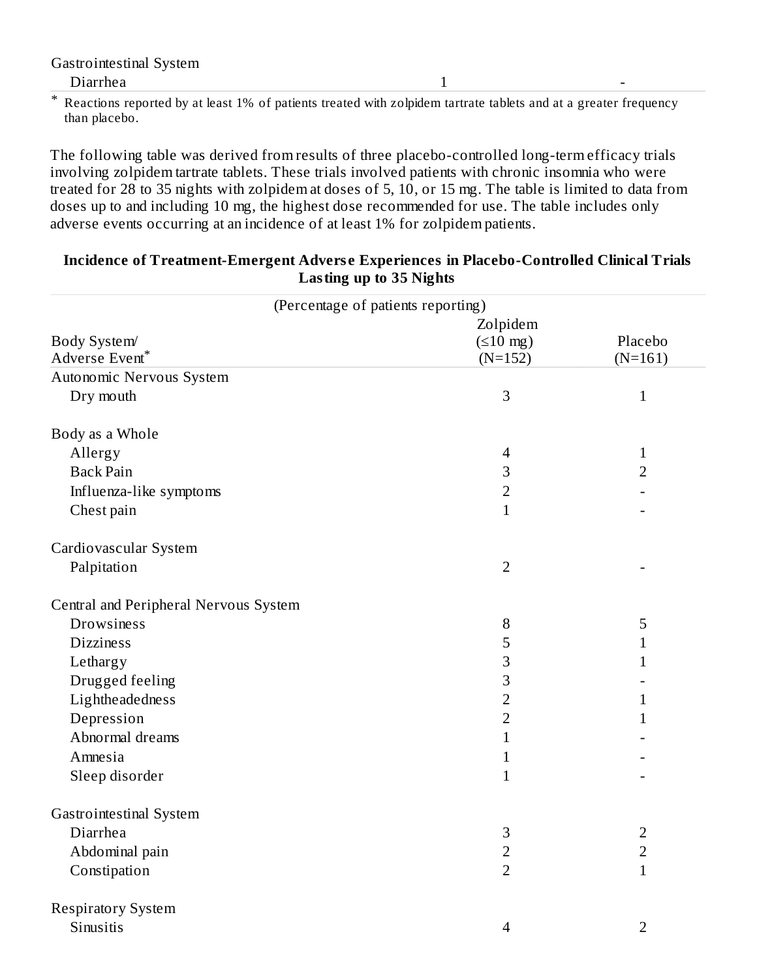Gastrointestinal System

#### Diarrhea anns an t-Iomraid anns an t-Iomraid anns an t-Iomraid anns an t-Iomraid anns an t-Iomraid anns an t-Io

\* Reactions reported by at least 1% of patients treated with zolpidem tartrate tablets and at a greater frequency than placebo.

The following table was derived from results of three placebo-controlled long-term efficacy trials involving zolpidem tartrate tablets. These trials involved patients with chronic insomnia who were treated for 28 to 35 nights with zolpidem at doses of 5, 10, or 15 mg. The table is limited to data from doses up to and including 10 mg, the highest dose recommended for use. The table includes only adverse events occurring at an incidence of at least 1% for zolpidem patients.

| (Percentage of patients reporting)    |                |                |  |
|---------------------------------------|----------------|----------------|--|
|                                       | Zolpidem       |                |  |
| Body System                           | $(\leq 10$ mg) | Placebo        |  |
| Adverse Event*                        | $(N=152)$      | $(N=161)$      |  |
| Autonomic Nervous System              |                |                |  |
| Dry mouth                             | 3              | $\mathbf{1}$   |  |
| Body as a Whole                       |                |                |  |
| Allergy                               | 4              | $\mathbf{1}$   |  |
| <b>Back Pain</b>                      | 3              | $\overline{2}$ |  |
| Influenza-like symptoms               | $\overline{2}$ |                |  |
| Chest pain                            | $\mathbf{1}$   |                |  |
| Cardiovascular System                 |                |                |  |
| Palpitation                           | $\overline{2}$ |                |  |
| Central and Peripheral Nervous System |                |                |  |
| Drowsiness                            | 8              | 5              |  |
| <b>Dizziness</b>                      | 5              | $\mathbf 1$    |  |
| Lethargy                              | 3              | $\mathbf{1}$   |  |
| Drugged feeling                       | 3              |                |  |
| Lightheadedness                       | $\overline{2}$ | $\mathbf{1}$   |  |
| Depression                            | 2              | $\mathbf 1$    |  |
| Abnormal dreams                       | $\mathbf{1}$   |                |  |
| Amnesia                               | $\mathbf{1}$   |                |  |
| Sleep disorder                        | $\mathbf{1}$   |                |  |
| Gastrointestinal System               |                |                |  |
| Diarrhea                              | 3              | $\overline{2}$ |  |
| Abdominal pain                        | $\overline{2}$ | $\overline{2}$ |  |
| Constipation                          | $\overline{2}$ | $\mathbf{1}$   |  |
| <b>Respiratory System</b>             |                |                |  |
| Sinusitis                             | $\overline{4}$ | $\overline{2}$ |  |

#### **Incidence of Treatment-Emergent Advers e Experiences in Placebo-Controlled Clinical Trials Lasting up to 35 Nights**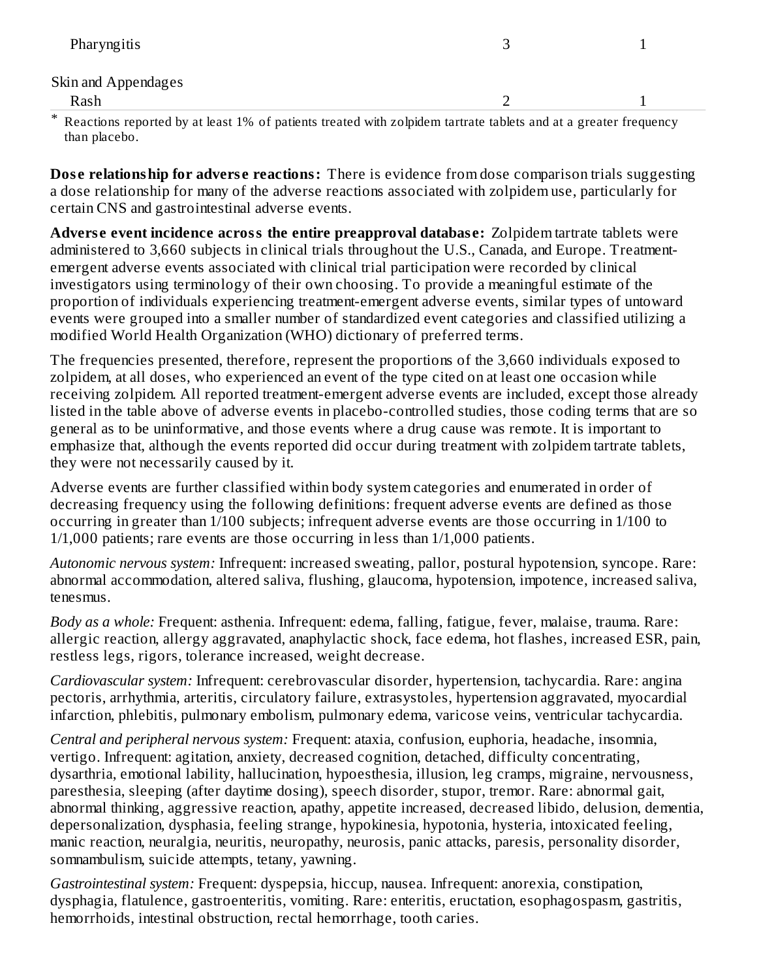| Pharyngitis         | ັ |  |
|---------------------|---|--|
| Skin and Appendages |   |  |
| Rash                |   |  |
|                     |   |  |

\* Reactions reported by at least 1% of patients treated with zolpidem tartrate tablets and at a greater frequency than placebo.

**Dose relationship for adverse reactions:** There is evidence from dose comparison trials suggesting a dose relationship for many of the adverse reactions associated with zolpidem use, particularly for certain CNS and gastrointestinal adverse events.

**Advers e event incidence across the entire preapproval databas e:** Zolpidem tartrate tablets were administered to 3,660 subjects in clinical trials throughout the U.S., Canada, and Europe. Treatmentemergent adverse events associated with clinical trial participation were recorded by clinical investigators using terminology of their own choosing. To provide a meaningful estimate of the proportion of individuals experiencing treatment-emergent adverse events, similar types of untoward events were grouped into a smaller number of standardized event categories and classified utilizing a modified World Health Organization (WHO) dictionary of preferred terms.

The frequencies presented, therefore, represent the proportions of the 3,660 individuals exposed to zolpidem, at all doses, who experienced an event of the type cited on at least one occasion while receiving zolpidem. All reported treatment-emergent adverse events are included, except those already listed in the table above of adverse events in placebo-controlled studies, those coding terms that are so general as to be uninformative, and those events where a drug cause was remote. It is important to emphasize that, although the events reported did occur during treatment with zolpidem tartrate tablets, they were not necessarily caused by it.

Adverse events are further classified within body system categories and enumerated in order of decreasing frequency using the following definitions: frequent adverse events are defined as those occurring in greater than 1/100 subjects; infrequent adverse events are those occurring in 1/100 to 1/1,000 patients; rare events are those occurring in less than 1/1,000 patients.

*Autonomic nervous system:* Infrequent: increased sweating, pallor, postural hypotension, syncope. Rare: abnormal accommodation, altered saliva, flushing, glaucoma, hypotension, impotence, increased saliva, tenesmus.

*Body as a whole:* Frequent: asthenia. Infrequent: edema, falling, fatigue, fever, malaise, trauma. Rare: allergic reaction, allergy aggravated, anaphylactic shock, face edema, hot flashes, increased ESR, pain, restless legs, rigors, tolerance increased, weight decrease.

*Cardiovascular system:* Infrequent: cerebrovascular disorder, hypertension, tachycardia. Rare: angina pectoris, arrhythmia, arteritis, circulatory failure, extrasystoles, hypertension aggravated, myocardial infarction, phlebitis, pulmonary embolism, pulmonary edema, varicose veins, ventricular tachycardia.

*Central and peripheral nervous system:* Frequent: ataxia, confusion, euphoria, headache, insomnia, vertigo. Infrequent: agitation, anxiety, decreased cognition, detached, difficulty concentrating, dysarthria, emotional lability, hallucination, hypoesthesia, illusion, leg cramps, migraine, nervousness, paresthesia, sleeping (after daytime dosing), speech disorder, stupor, tremor. Rare: abnormal gait, abnormal thinking, aggressive reaction, apathy, appetite increased, decreased libido, delusion, dementia, depersonalization, dysphasia, feeling strange, hypokinesia, hypotonia, hysteria, intoxicated feeling, manic reaction, neuralgia, neuritis, neuropathy, neurosis, panic attacks, paresis, personality disorder, somnambulism, suicide attempts, tetany, yawning.

*Gastrointestinal system:* Frequent: dyspepsia, hiccup, nausea. Infrequent: anorexia, constipation, dysphagia, flatulence, gastroenteritis, vomiting. Rare: enteritis, eructation, esophagospasm, gastritis, hemorrhoids, intestinal obstruction, rectal hemorrhage, tooth caries.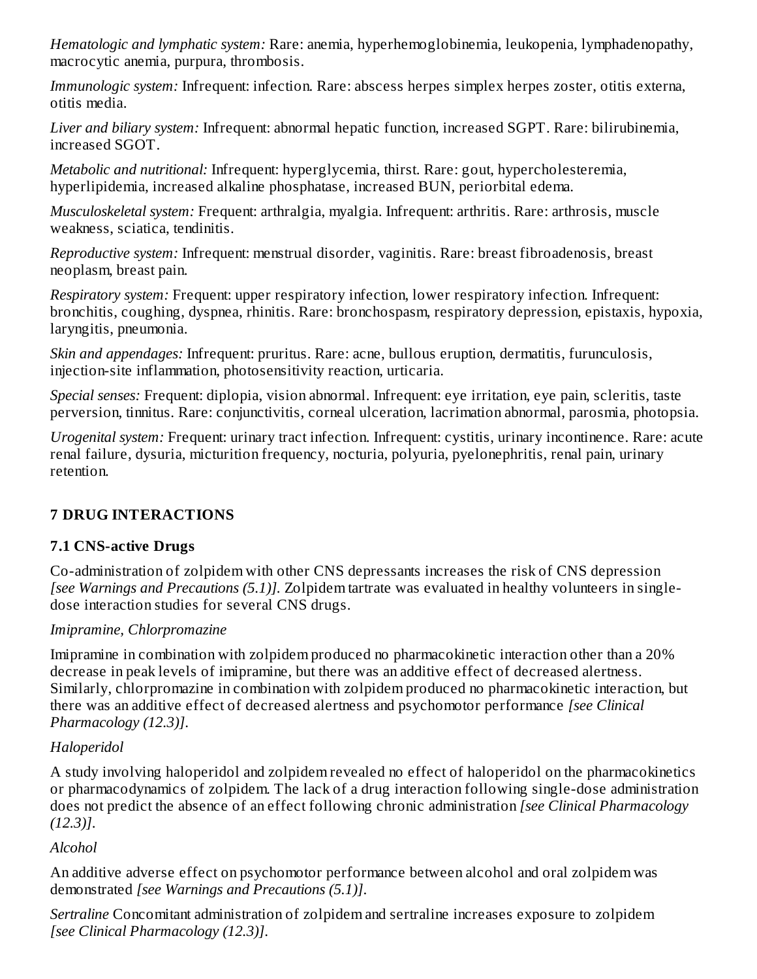*Hematologic and lymphatic system:* Rare: anemia, hyperhemoglobinemia, leukopenia, lymphadenopathy, macrocytic anemia, purpura, thrombosis.

*Immunologic system:* Infrequent: infection. Rare: abscess herpes simplex herpes zoster, otitis externa, otitis media.

*Liver and biliary system:* Infrequent: abnormal hepatic function, increased SGPT. Rare: bilirubinemia, increased SGOT.

*Metabolic and nutritional:* Infrequent: hyperglycemia, thirst. Rare: gout, hypercholesteremia, hyperlipidemia, increased alkaline phosphatase, increased BUN, periorbital edema.

*Musculoskeletal system:* Frequent: arthralgia, myalgia. Infrequent: arthritis. Rare: arthrosis, muscle weakness, sciatica, tendinitis.

*Reproductive system:* Infrequent: menstrual disorder, vaginitis. Rare: breast fibroadenosis, breast neoplasm, breast pain.

*Respiratory system:* Frequent: upper respiratory infection, lower respiratory infection. Infrequent: bronchitis, coughing, dyspnea, rhinitis. Rare: bronchospasm, respiratory depression, epistaxis, hypoxia, laryngitis, pneumonia.

*Skin and appendages:* Infrequent: pruritus. Rare: acne, bullous eruption, dermatitis, furunculosis, injection-site inflammation, photosensitivity reaction, urticaria.

*Special senses:* Frequent: diplopia, vision abnormal. Infrequent: eye irritation, eye pain, scleritis, taste perversion, tinnitus. Rare: conjunctivitis, corneal ulceration, lacrimation abnormal, parosmia, photopsia.

*Urogenital system:* Frequent: urinary tract infection. Infrequent: cystitis, urinary incontinence. Rare: acute renal failure, dysuria, micturition frequency, nocturia, polyuria, pyelonephritis, renal pain, urinary retention.

## **7 DRUG INTERACTIONS**

## **7.1 CNS-active Drugs**

Co-administration of zolpidem with other CNS depressants increases the risk of CNS depression *[see Warnings and Precautions (5.1)].* Zolpidem tartrate was evaluated in healthy volunteers in singledose interaction studies for several CNS drugs.

## *Imipramine, Chlorpromazine*

Imipramine in combination with zolpidem produced no pharmacokinetic interaction other than a 20% decrease in peak levels of imipramine, but there was an additive effect of decreased alertness. Similarly, chlorpromazine in combination with zolpidem produced no pharmacokinetic interaction, but there was an additive effect of decreased alertness and psychomotor performance *[see Clinical Pharmacology (12.3)]*.

## *Haloperidol*

A study involving haloperidol and zolpidem revealed no effect of haloperidol on the pharmacokinetics or pharmacodynamics of zolpidem. The lack of a drug interaction following single-dose administration does not predict the absence of an effect following chronic administration *[see Clinical Pharmacology (12.3)]*.

## *Alcohol*

An additive adverse effect on psychomotor performance between alcohol and oral zolpidem was demonstrated *[see Warnings and Precautions (5.1)]*.

*Sertraline* Concomitant administration of zolpidem and sertraline increases exposure to zolpidem *[see Clinical Pharmacology (12.3)]*.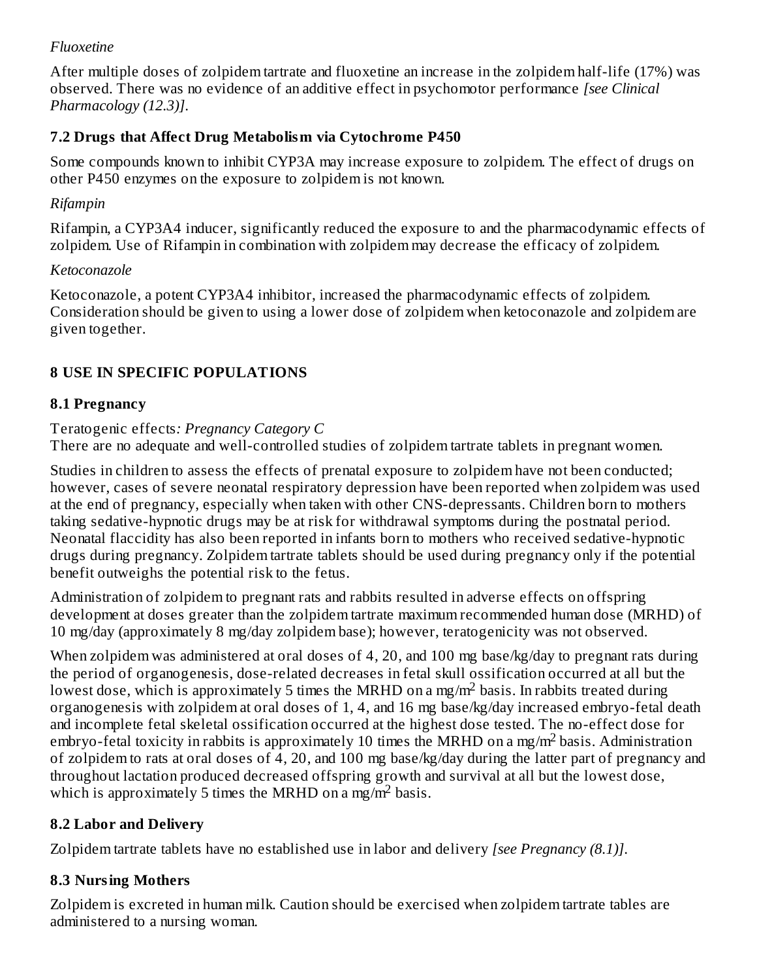#### *Fluoxetine*

After multiple doses of zolpidem tartrate and fluoxetine an increase in the zolpidem half-life (17%) was observed. There was no evidence of an additive effect in psychomotor performance *[see Clinical Pharmacology (12.3)]*.

## **7.2 Drugs that Affect Drug Metabolism via Cytochrome P450**

Some compounds known to inhibit CYP3A may increase exposure to zolpidem. The effect of drugs on other P450 enzymes on the exposure to zolpidem is not known.

## *Rifampin*

Rifampin, a CYP3A4 inducer, significantly reduced the exposure to and the pharmacodynamic effects of zolpidem. Use of Rifampin in combination with zolpidem may decrease the efficacy of zolpidem.

## *Ketoconazole*

Ketoconazole, a potent CYP3A4 inhibitor, increased the pharmacodynamic effects of zolpidem. Consideration should be given to using a lower dose of zolpidem when ketoconazole and zolpidem are given together.

## **8 USE IN SPECIFIC POPULATIONS**

## **8.1 Pregnancy**

Teratogenic effects*: Pregnancy Category C*

There are no adequate and well-controlled studies of zolpidem tartrate tablets in pregnant women.

Studies in children to assess the effects of prenatal exposure to zolpidem have not been conducted; however, cases of severe neonatal respiratory depression have been reported when zolpidem was used at the end of pregnancy, especially when taken with other CNS-depressants. Children born to mothers taking sedative-hypnotic drugs may be at risk for withdrawal symptoms during the postnatal period. Neonatal flaccidity has also been reported in infants born to mothers who received sedative-hypnotic drugs during pregnancy. Zolpidem tartrate tablets should be used during pregnancy only if the potential benefit outweighs the potential risk to the fetus.

Administration of zolpidem to pregnant rats and rabbits resulted in adverse effects on offspring development at doses greater than the zolpidem tartrate maximum recommended human dose (MRHD) of 10 mg/day (approximately 8 mg/day zolpidem base); however, teratogenicity was not observed.

When zolpidem was administered at oral doses of 4, 20, and 100 mg base/kg/day to pregnant rats during the period of organogenesis, dose-related decreases in fetal skull ossification occurred at all but the lowest dose, which is approximately 5 times the MRHD on a mg/m<sup>2</sup> basis. In rabbits treated during organogenesis with zolpidem at oral doses of 1, 4, and 16 mg base/kg/day increased embryo-fetal death and incomplete fetal skeletal ossification occurred at the highest dose tested. The no-effect dose for embryo-fetal toxicity in rabbits is approximately 10 times the MRHD on a mg/m<sup>2</sup> basis. Administration of zolpidem to rats at oral doses of 4, 20, and 100 mg base/kg/day during the latter part of pregnancy and throughout lactation produced decreased offspring growth and survival at all but the lowest dose, which is approximately 5 times the MRHD on a mg/m<sup>2</sup> basis.

## **8.2 Labor and Delivery**

Zolpidem tartrate tablets have no established use in labor and delivery *[see Pregnancy (8.1)]*.

## **8.3 Nursing Mothers**

Zolpidem is excreted in human milk. Caution should be exercised when zolpidem tartrate tables are administered to a nursing woman.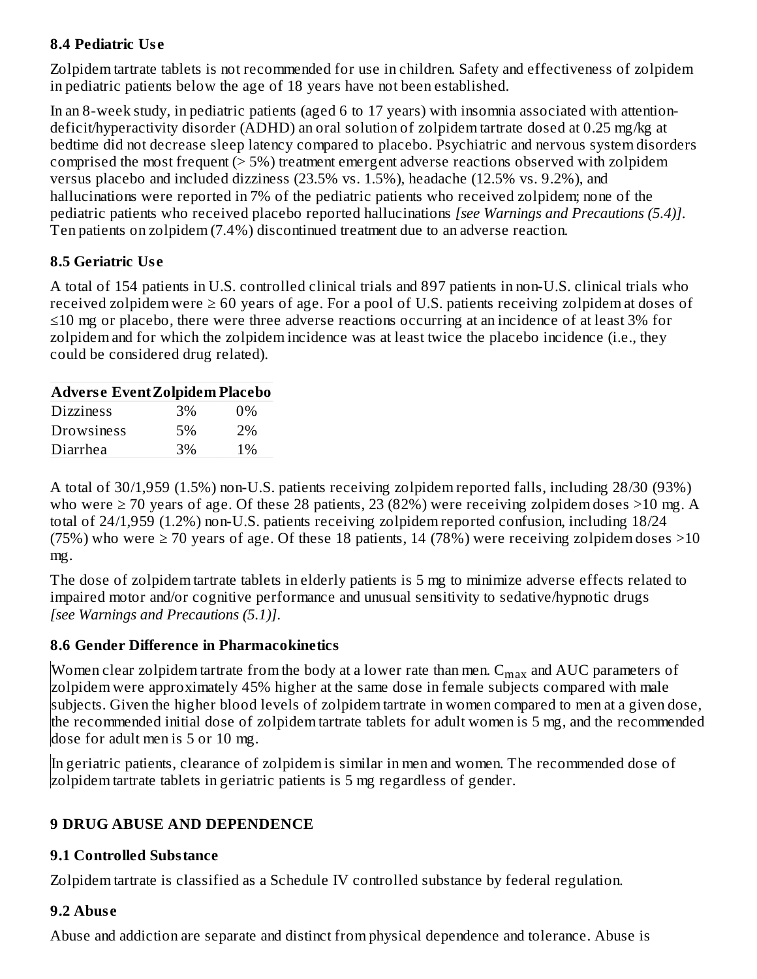## **8.4 Pediatric Us e**

Zolpidem tartrate tablets is not recommended for use in children. Safety and effectiveness of zolpidem in pediatric patients below the age of 18 years have not been established.

In an 8-week study, in pediatric patients (aged 6 to 17 years) with insomnia associated with attentiondeficit/hyperactivity disorder (ADHD) an oral solution of zolpidem tartrate dosed at 0.25 mg/kg at bedtime did not decrease sleep latency compared to placebo. Psychiatric and nervous system disorders comprised the most frequent (> 5%) treatment emergent adverse reactions observed with zolpidem versus placebo and included dizziness (23.5% vs. 1.5%), headache (12.5% vs. 9.2%), and hallucinations were reported in 7% of the pediatric patients who received zolpidem; none of the pediatric patients who received placebo reported hallucinations *[see Warnings and Precautions (5.4)]*. Ten patients on zolpidem (7.4%) discontinued treatment due to an adverse reaction.

## **8.5 Geriatric Us e**

A total of 154 patients in U.S. controlled clinical trials and 897 patients in non-U.S. clinical trials who received zolpidem were ≥ 60 years of age. For a pool of U.S. patients receiving zolpidem at doses of ≤10 mg or placebo, there were three adverse reactions occurring at an incidence of at least 3% for zolpidem and for which the zolpidem incidence was at least twice the placebo incidence (i.e., they could be considered drug related).

| <b>Adverse Event Zolpidem Placebo</b> |       |  |  |  |
|---------------------------------------|-------|--|--|--|
| 3%                                    | $0\%$ |  |  |  |
| .5%                                   | 2%    |  |  |  |
| 3%                                    | $1\%$ |  |  |  |
|                                       |       |  |  |  |

A total of 30/1,959 (1.5%) non-U.S. patients receiving zolpidem reported falls, including 28/30 (93%) who were  $\geq$  70 years of age. Of these 28 patients, 23 (82%) were receiving zolpidem doses >10 mg. A total of 24/1,959 (1.2%) non-U.S. patients receiving zolpidem reported confusion, including 18/24 (75%) who were  $\geq$  70 years of age. Of these 18 patients, 14 (78%) were receiving zolpidem doses  $>$ 10 mg.

The dose of zolpidem tartrate tablets in elderly patients is 5 mg to minimize adverse effects related to impaired motor and/or cognitive performance and unusual sensitivity to sedative/hypnotic drugs *[see Warnings and Precautions (5.1)]*.

## **8.6 Gender Difference in Pharmacokinetics**

Women clear zolpidem tartrate from the body at a lower rate than men.  $\rm{C_{max}}$  and  $\rm{AUC}$  parameters of zolpidem were approximately 45% higher at the same dose in female subjects compared with male subjects. Given the higher blood levels of zolpidem tartrate in women compared to men at a given dose, the recommended initial dose of zolpidem tartrate tablets for adult women is 5 mg, and the recommended dose for adult men is 5 or 10 mg.

In geriatric patients, clearance of zolpidem is similar in men and women. The recommended dose of zolpidem tartrate tablets in geriatric patients is 5 mg regardless of gender.

## **9 DRUG ABUSE AND DEPENDENCE**

## **9.1 Controlled Substance**

Zolpidem tartrate is classified as a Schedule IV controlled substance by federal regulation.

## **9.2 Abus e**

Abuse and addiction are separate and distinct from physical dependence and tolerance. Abuse is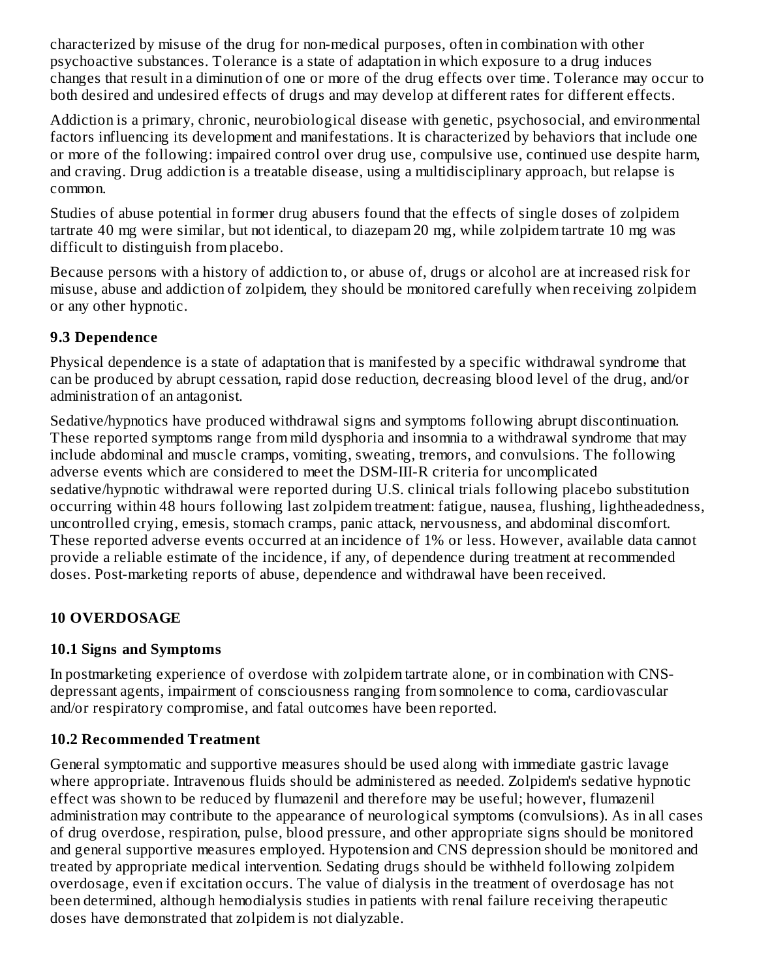characterized by misuse of the drug for non-medical purposes, often in combination with other psychoactive substances. Tolerance is a state of adaptation in which exposure to a drug induces changes that result in a diminution of one or more of the drug effects over time. Tolerance may occur to both desired and undesired effects of drugs and may develop at different rates for different effects.

Addiction is a primary, chronic, neurobiological disease with genetic, psychosocial, and environmental factors influencing its development and manifestations. It is characterized by behaviors that include one or more of the following: impaired control over drug use, compulsive use, continued use despite harm, and craving. Drug addiction is a treatable disease, using a multidisciplinary approach, but relapse is common.

Studies of abuse potential in former drug abusers found that the effects of single doses of zolpidem tartrate 40 mg were similar, but not identical, to diazepam 20 mg, while zolpidem tartrate 10 mg was difficult to distinguish from placebo.

Because persons with a history of addiction to, or abuse of, drugs or alcohol are at increased risk for misuse, abuse and addiction of zolpidem, they should be monitored carefully when receiving zolpidem or any other hypnotic.

## **9.3 Dependence**

Physical dependence is a state of adaptation that is manifested by a specific withdrawal syndrome that can be produced by abrupt cessation, rapid dose reduction, decreasing blood level of the drug, and/or administration of an antagonist.

Sedative/hypnotics have produced withdrawal signs and symptoms following abrupt discontinuation. These reported symptoms range from mild dysphoria and insomnia to a withdrawal syndrome that may include abdominal and muscle cramps, vomiting, sweating, tremors, and convulsions. The following adverse events which are considered to meet the DSM-III-R criteria for uncomplicated sedative/hypnotic withdrawal were reported during U.S. clinical trials following placebo substitution occurring within 48 hours following last zolpidem treatment: fatigue, nausea, flushing, lightheadedness, uncontrolled crying, emesis, stomach cramps, panic attack, nervousness, and abdominal discomfort. These reported adverse events occurred at an incidence of 1% or less. However, available data cannot provide a reliable estimate of the incidence, if any, of dependence during treatment at recommended doses. Post-marketing reports of abuse, dependence and withdrawal have been received.

## **10 OVERDOSAGE**

#### **10.1 Signs and Symptoms**

In postmarketing experience of overdose with zolpidem tartrate alone, or in combination with CNSdepressant agents, impairment of consciousness ranging from somnolence to coma, cardiovascular and/or respiratory compromise, and fatal outcomes have been reported.

## **10.2 Recommended Treatment**

General symptomatic and supportive measures should be used along with immediate gastric lavage where appropriate. Intravenous fluids should be administered as needed. Zolpidem's sedative hypnotic effect was shown to be reduced by flumazenil and therefore may be useful; however, flumazenil administration may contribute to the appearance of neurological symptoms (convulsions). As in all cases of drug overdose, respiration, pulse, blood pressure, and other appropriate signs should be monitored and general supportive measures employed. Hypotension and CNS depression should be monitored and treated by appropriate medical intervention. Sedating drugs should be withheld following zolpidem overdosage, even if excitation occurs. The value of dialysis in the treatment of overdosage has not been determined, although hemodialysis studies in patients with renal failure receiving therapeutic doses have demonstrated that zolpidem is not dialyzable.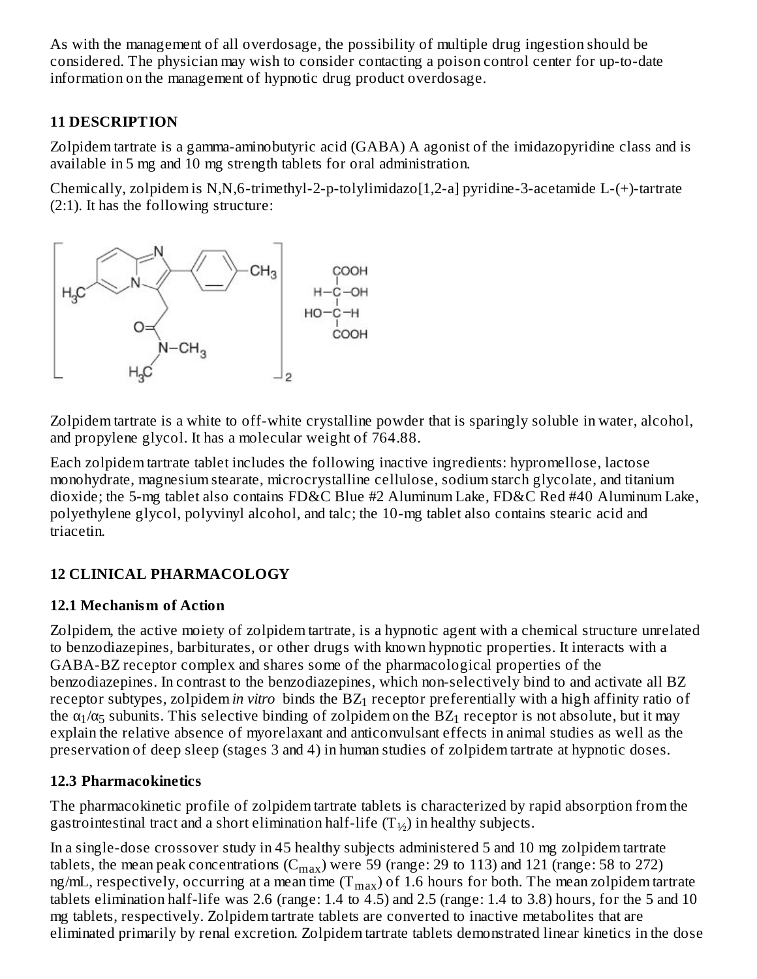As with the management of all overdosage, the possibility of multiple drug ingestion should be considered. The physician may wish to consider contacting a poison control center for up-to-date information on the management of hypnotic drug product overdosage.

## **11 DESCRIPTION**

Zolpidem tartrate is a gamma-aminobutyric acid (GABA) A agonist of the imidazopyridine class and is available in 5 mg and 10 mg strength tablets for oral administration.

Chemically, zolpidem is N,N,6-trimethyl-2-p-tolylimidazo[1,2-a] pyridine-3-acetamide L-(+)-tartrate (2:1). It has the following structure:



Zolpidem tartrate is a white to off-white crystalline powder that is sparingly soluble in water, alcohol, and propylene glycol. It has a molecular weight of 764.88.

Each zolpidem tartrate tablet includes the following inactive ingredients: hypromellose, lactose monohydrate, magnesium stearate, microcrystalline cellulose, sodium starch glycolate, and titanium dioxide; the 5-mg tablet also contains FD&C Blue #2 Aluminum Lake, FD&C Red #40 Aluminum Lake, polyethylene glycol, polyvinyl alcohol, and talc; the 10-mg tablet also contains stearic acid and triacetin.

## **12 CLINICAL PHARMACOLOGY**

## **12.1 Mechanism of Action**

Zolpidem, the active moiety of zolpidem tartrate, is a hypnotic agent with a chemical structure unrelated to benzodiazepines, barbiturates, or other drugs with known hypnotic properties. It interacts with a GABA-BZ receptor complex and shares some of the pharmacological properties of the benzodiazepines. In contrast to the benzodiazepines, which non-selectively bind to and activate all BZ receptor subtypes, zolpidem*in vitro* binds the  $\mathtt{BZ}_1$  receptor preferentially with a high affinity ratio of the  $\alpha_1/\alpha_5$  subunits. This selective binding of zolpidem on the BZ $_1$  receptor is not absolute, but it may explain the relative absence of myorelaxant and anticonvulsant effects in animal studies as well as the preservation of deep sleep (stages 3 and 4) in human studies of zolpidem tartrate at hypnotic doses.

## **12.3 Pharmacokinetics**

The pharmacokinetic profile of zolpidem tartrate tablets is characterized by rapid absorption from the gastrointestinal tract and a short elimination half-life (T $_{1/2}$ ) in healthy subjects.

In a single-dose crossover study in 45 healthy subjects administered 5 and 10 mg zolpidem tartrate tablets, the mean peak concentrations  $(C_{max})$  were 59 (range: 29 to 113) and 121 (range: 58 to 272) ng/mL, respectively, occurring at a mean time (T $_{\rm max}$ ) of 1.6 hours for both. The mean zolpidem tartrate tablets elimination half-life was 2.6 (range: 1.4 to 4.5) and 2.5 (range: 1.4 to 3.8) hours, for the 5 and 10 mg tablets, respectively. Zolpidem tartrate tablets are converted to inactive metabolites that are eliminated primarily by renal excretion. Zolpidem tartrate tablets demonstrated linear kinetics in the dose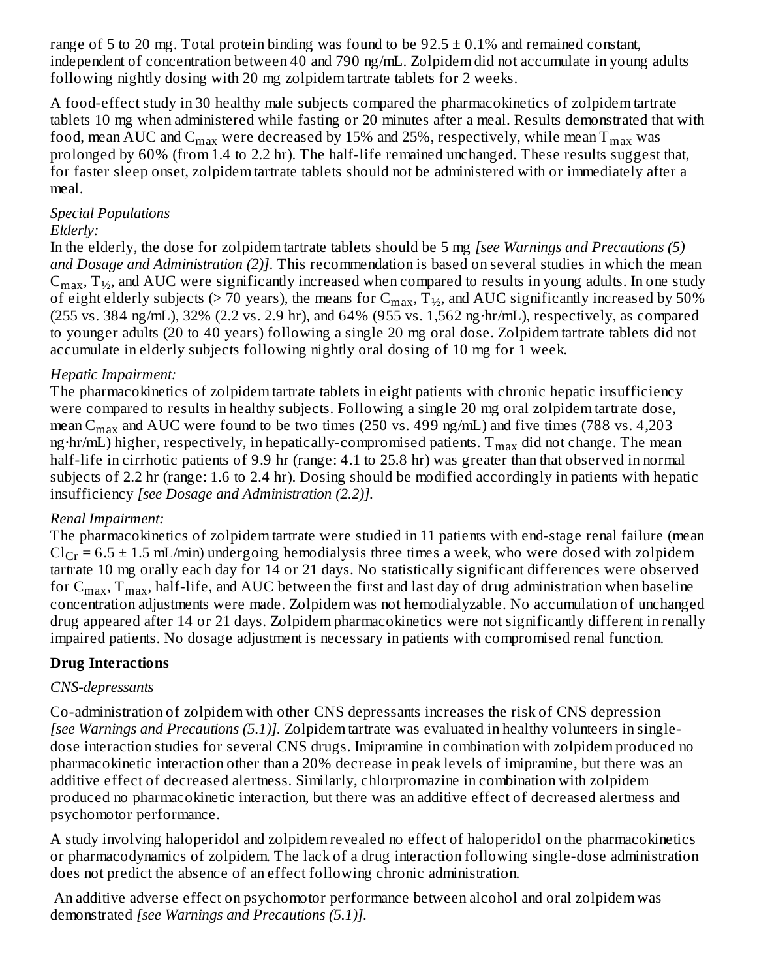range of 5 to 20 mg. Total protein binding was found to be  $92.5 \pm 0.1\%$  and remained constant, independent of concentration between 40 and 790 ng/mL. Zolpidem did not accumulate in young adults following nightly dosing with 20 mg zolpidem tartrate tablets for 2 weeks.

A food-effect study in 30 healthy male subjects compared the pharmacokinetics of zolpidem tartrate tablets 10 mg when administered while fasting or 20 minutes after a meal. Results demonstrated that with food, mean AUC and  $\rm{C_{max}}$  were decreased by 15% and 25%, respectively, while mean  $\rm{T_{max}}$  was prolonged by 60% (from 1.4 to 2.2 hr). The half-life remained unchanged. These results suggest that, for faster sleep onset, zolpidem tartrate tablets should not be administered with or immediately after a meal.

## *Special Populations*

#### *Elderly:*

In the elderly, the dose for zolpidem tartrate tablets should be 5 mg *[see Warnings and Precautions (5) and Dosage and Administration (2)]*. This recommendation is based on several studies in which the mean  $\rm C_{max},$   $\rm T_{\rm \gamma_{2}},$  and AUC were significantly increased when compared to results in young adults. In one study of eight elderly subjects (> 70 years), the means for  $\rm C_{max},$   $\rm T_{\gamma_2}$ , and AUC significantly increased by 50% (255 vs. 384 ng/mL), 32% (2.2 vs. 2.9 hr), and 64% (955 vs. 1,562 ng·hr/mL), respectively, as compared to younger adults (20 to 40 years) following a single 20 mg oral dose. Zolpidem tartrate tablets did not accumulate in elderly subjects following nightly oral dosing of 10 mg for 1 week.

#### *Hepatic Impairment:*

The pharmacokinetics of zolpidem tartrate tablets in eight patients with chronic hepatic insufficiency were compared to results in healthy subjects. Following a single 20 mg oral zolpidem tartrate dose, mean C $_{\rm max}$  and AUC were found to be two times (250 vs. 499 ng/mL) and five times (788 vs. 4,203 ng·hr/mL) higher, respectively, in hepatically-compromised patients.  $\rm T_{max}$  did not change. The mean half-life in cirrhotic patients of 9.9 hr (range: 4.1 to 25.8 hr) was greater than that observed in normal subjects of 2.2 hr (range: 1.6 to 2.4 hr). Dosing should be modified accordingly in patients with hepatic insufficiency *[see Dosage and Administration (2.2)].*

#### *Renal Impairment:*

The pharmacokinetics of zolpidem tartrate were studied in 11 patients with end-stage renal failure (mean  $Cl_{Cr}$  = 6.5  $\pm$  1.5 mL/min) undergoing hemodialysis three times a week, who were dosed with zolpidem tartrate 10 mg orally each day for 14 or 21 days. No statistically significant differences were observed for  $\rm C_{max},$   $\rm T_{max},$  half-life, and AUC between the first and last day of drug administration when baseline concentration adjustments were made. Zolpidem was not hemodialyzable. No accumulation of unchanged drug appeared after 14 or 21 days. Zolpidem pharmacokinetics were not significantly different in renally impaired patients. No dosage adjustment is necessary in patients with compromised renal function.

#### **Drug Interactions**

#### *CNS-depressants*

Co-administration of zolpidem with other CNS depressants increases the risk of CNS depression *[see Warnings and Precautions (5.1)].* Zolpidem tartrate was evaluated in healthy volunteers in singledose interaction studies for several CNS drugs. Imipramine in combination with zolpidem produced no pharmacokinetic interaction other than a 20% decrease in peak levels of imipramine, but there was an additive effect of decreased alertness. Similarly, chlorpromazine in combination with zolpidem produced no pharmacokinetic interaction, but there was an additive effect of decreased alertness and psychomotor performance.

A study involving haloperidol and zolpidem revealed no effect of haloperidol on the pharmacokinetics or pharmacodynamics of zolpidem. The lack of a drug interaction following single-dose administration does not predict the absence of an effect following chronic administration.

An additive adverse effect on psychomotor performance between alcohol and oral zolpidem was demonstrated *[see Warnings and Precautions (5.1)].*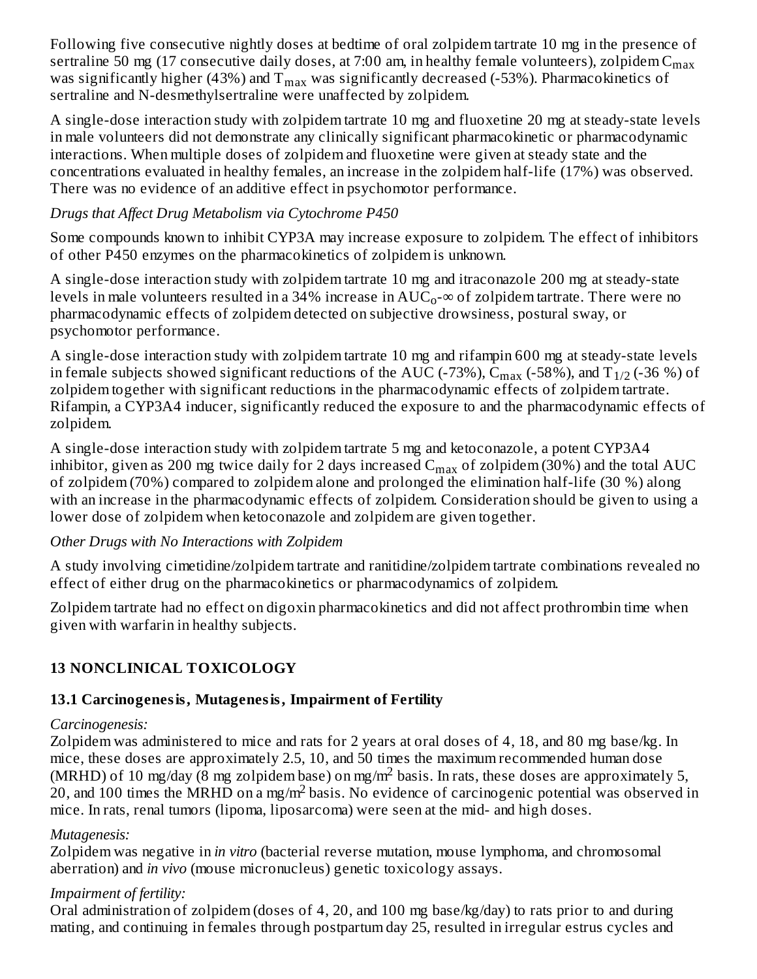Following five consecutive nightly doses at bedtime of oral zolpidem tartrate 10 mg in the presence of sertraline 50 mg (17 consecutive daily doses, at 7:00 am, in healthy female volunteers), zolpidem  $\rm{C_{max}}$ was significantly higher (43%) and  $\rm T_{max}$  was significantly decreased (-53%). Pharmacokinetics of sertraline and N-desmethylsertraline were unaffected by zolpidem.

A single-dose interaction study with zolpidem tartrate 10 mg and fluoxetine 20 mg at steady-state levels in male volunteers did not demonstrate any clinically significant pharmacokinetic or pharmacodynamic interactions. When multiple doses of zolpidem and fluoxetine were given at steady state and the concentrations evaluated in healthy females, an increase in the zolpidem half-life (17%) was observed. There was no evidence of an additive effect in psychomotor performance.

## *Drugs that Affect Drug Metabolism via Cytochrome P450*

Some compounds known to inhibit CYP3A may increase exposure to zolpidem. The effect of inhibitors of other P450 enzymes on the pharmacokinetics of zolpidem is unknown.

A single-dose interaction study with zolpidem tartrate 10 mg and itraconazole 200 mg at steady-state levels in male volunteers resulted in a 34% increase in  $\mathrm{AUC}_\mathrm{o}$ - $\infty$  of zolpidem tartrate. There were no pharmacodynamic effects of zolpidem detected on subjective drowsiness, postural sway, or psychomotor performance.

A single-dose interaction study with zolpidem tartrate 10 mg and rifampin 600 mg at steady-state levels in female subjects showed significant reductions of the AUC (-73%),  $\rm{C_{max}}$  (-58%), and T $_{1/2}$  (-36 %) of zolpidem together with significant reductions in the pharmacodynamic effects of zolpidem tartrate. Rifampin, a CYP3A4 inducer, significantly reduced the exposure to and the pharmacodynamic effects of zolpidem.

A single-dose interaction study with zolpidem tartrate 5 mg and ketoconazole, a potent CYP3A4 inhibitor, given as 200 mg twice daily for 2 days increased  $\rm{C_{max}}$  of zolpidem (30%) and the total  $\rm{AUC}$ of zolpidem (70%) compared to zolpidem alone and prolonged the elimination half-life (30 %) along with an increase in the pharmacodynamic effects of zolpidem. Consideration should be given to using a lower dose of zolpidem when ketoconazole and zolpidem are given together.

## *Other Drugs with No Interactions with Zolpidem*

A study involving cimetidine/zolpidem tartrate and ranitidine/zolpidem tartrate combinations revealed no effect of either drug on the pharmacokinetics or pharmacodynamics of zolpidem.

Zolpidem tartrate had no effect on digoxin pharmacokinetics and did not affect prothrombin time when given with warfarin in healthy subjects.

# **13 NONCLINICAL TOXICOLOGY**

## **13.1 Carcinogenesis, Mutagenesis, Impairment of Fertility**

## *Carcinogenesis:*

Zolpidem was administered to mice and rats for 2 years at oral doses of 4, 18, and 80 mg base/kg. In mice, these doses are approximately 2.5, 10, and 50 times the maximum recommended human dose (MRHD) of 10 mg/day  $(8 \text{ mg}$  zolpidem base) on mg/m<sup>2</sup> basis. In rats, these doses are approximately 5, 20, and 100 times the MRHD on a mg/m<sup>2</sup> basis. No evidence of carcinogenic potential was observed in mice. In rats, renal tumors (lipoma, liposarcoma) were seen at the mid- and high doses.

## *Mutagenesis:*

Zolpidem was negative in *in vitro* (bacterial reverse mutation, mouse lymphoma, and chromosomal aberration) and *in vivo* (mouse micronucleus) genetic toxicology assays.

## *Impairment of fertility:*

Oral administration of zolpidem (doses of 4, 20, and 100 mg base/kg/day) to rats prior to and during mating, and continuing in females through postpartum day 25, resulted in irregular estrus cycles and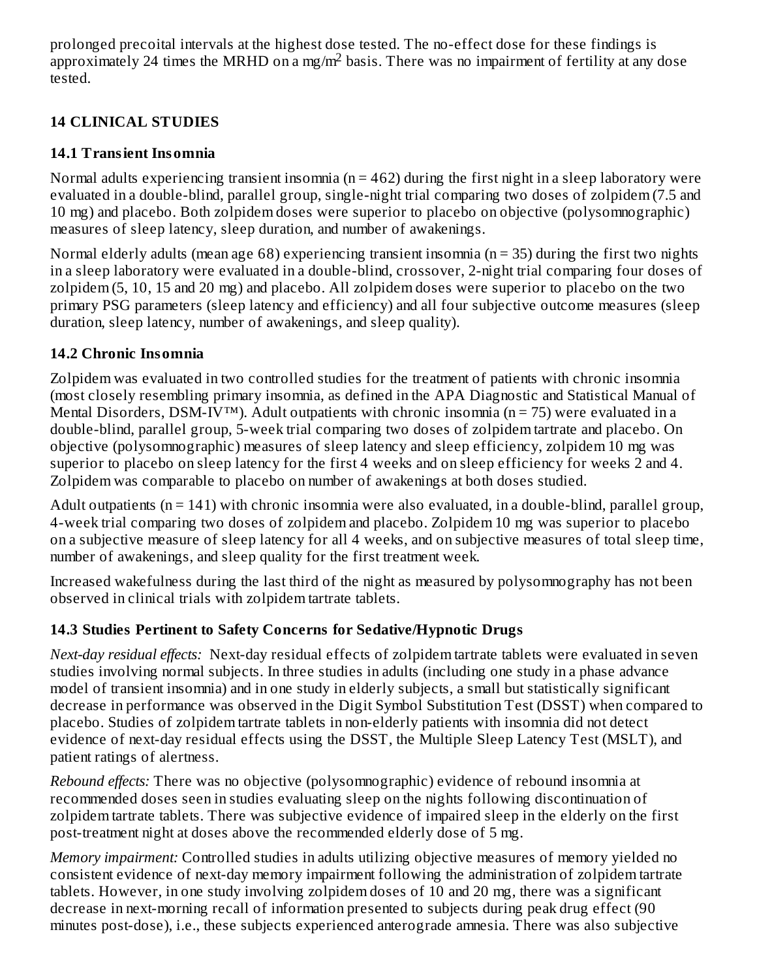prolonged precoital intervals at the highest dose tested. The no-effect dose for these findings is approximately 24 times the MRHD on a mg/m<sup>2</sup> basis. There was no impairment of fertility at any dose tested.

## **14 CLINICAL STUDIES**

## **14.1 Transient Insomnia**

Normal adults experiencing transient insomnia ( $n = 462$ ) during the first night in a sleep laboratory were evaluated in a double-blind, parallel group, single-night trial comparing two doses of zolpidem (7.5 and 10 mg) and placebo. Both zolpidem doses were superior to placebo on objective (polysomnographic) measures of sleep latency, sleep duration, and number of awakenings.

Normal elderly adults (mean age 68) experiencing transient insomnia (n = 35) during the first two nights in a sleep laboratory were evaluated in a double-blind, crossover, 2-night trial comparing four doses of zolpidem (5, 10, 15 and 20 mg) and placebo. All zolpidem doses were superior to placebo on the two primary PSG parameters (sleep latency and efficiency) and all four subjective outcome measures (sleep duration, sleep latency, number of awakenings, and sleep quality).

## **14.2 Chronic Insomnia**

Zolpidem was evaluated in two controlled studies for the treatment of patients with chronic insomnia (most closely resembling primary insomnia, as defined in the APA Diagnostic and Statistical Manual of Mental Disorders, DSM-IV™). Adult outpatients with chronic insomnia ( $n = 75$ ) were evaluated in a double-blind, parallel group, 5-week trial comparing two doses of zolpidem tartrate and placebo. On objective (polysomnographic) measures of sleep latency and sleep efficiency, zolpidem 10 mg was superior to placebo on sleep latency for the first 4 weeks and on sleep efficiency for weeks 2 and 4. Zolpidem was comparable to placebo on number of awakenings at both doses studied.

Adult outpatients (n = 141) with chronic insomnia were also evaluated, in a double-blind, parallel group, 4-week trial comparing two doses of zolpidem and placebo. Zolpidem 10 mg was superior to placebo on a subjective measure of sleep latency for all 4 weeks, and on subjective measures of total sleep time, number of awakenings, and sleep quality for the first treatment week.

Increased wakefulness during the last third of the night as measured by polysomnography has not been observed in clinical trials with zolpidem tartrate tablets.

## **14.3 Studies Pertinent to Safety Concerns for Sedative/Hypnotic Drugs**

*Next-day residual effects:* Next-day residual effects of zolpidem tartrate tablets were evaluated in seven studies involving normal subjects. In three studies in adults (including one study in a phase advance model of transient insomnia) and in one study in elderly subjects, a small but statistically significant decrease in performance was observed in the Digit Symbol Substitution Test (DSST) when compared to placebo. Studies of zolpidem tartrate tablets in non-elderly patients with insomnia did not detect evidence of next-day residual effects using the DSST, the Multiple Sleep Latency Test (MSLT), and patient ratings of alertness.

*Rebound effects:* There was no objective (polysomnographic) evidence of rebound insomnia at recommended doses seen in studies evaluating sleep on the nights following discontinuation of zolpidem tartrate tablets. There was subjective evidence of impaired sleep in the elderly on the first post-treatment night at doses above the recommended elderly dose of 5 mg.

*Memory impairment:* Controlled studies in adults utilizing objective measures of memory yielded no consistent evidence of next-day memory impairment following the administration of zolpidem tartrate tablets. However, in one study involving zolpidem doses of 10 and 20 mg, there was a significant decrease in next-morning recall of information presented to subjects during peak drug effect (90 minutes post-dose), i.e., these subjects experienced anterograde amnesia. There was also subjective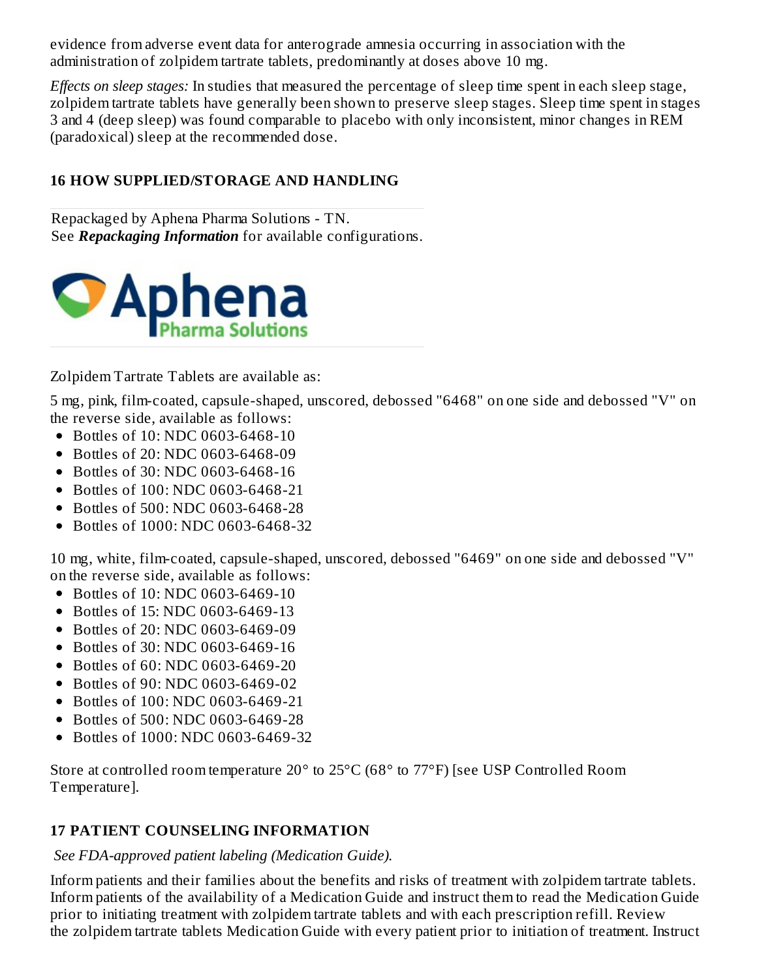evidence from adverse event data for anterograde amnesia occurring in association with the administration of zolpidem tartrate tablets, predominantly at doses above 10 mg.

*Effects on sleep stages:* In studies that measured the percentage of sleep time spent in each sleep stage, zolpidem tartrate tablets have generally been shown to preserve sleep stages. Sleep time spent in stages 3 and 4 (deep sleep) was found comparable to placebo with only inconsistent, minor changes in REM (paradoxical) sleep at the recommended dose.

## **16 HOW SUPPLIED/STORAGE AND HANDLING**

Repackaged by Aphena Pharma Solutions - TN. See *Repackaging Information* for available configurations.



Zolpidem Tartrate Tablets are available as:

5 mg, pink, film-coated, capsule-shaped, unscored, debossed "6468" on one side and debossed "V" on the reverse side, available as follows:

- Bottles of 10: NDC 0603-6468-10
- Bottles of 20: NDC 0603-6468-09
- Bottles of 30: NDC 0603-6468-16
- Bottles of 100: NDC 0603-6468-21
- Bottles of 500: NDC 0603-6468-28
- Bottles of 1000: NDC 0603-6468-32

10 mg, white, film-coated, capsule-shaped, unscored, debossed "6469" on one side and debossed "V" on the reverse side, available as follows:

- Bottles of 10: NDC 0603-6469-10
- Bottles of 15: NDC 0603-6469-13
- Bottles of 20: NDC 0603-6469-09
- Bottles of 30: NDC 0603-6469-16
- Bottles of 60: NDC 0603-6469-20
- Bottles of 90: NDC 0603-6469-02
- Bottles of 100: NDC 0603-6469-21
- Bottles of 500: NDC 0603-6469-28
- Bottles of 1000: NDC 0603-6469-32

Store at controlled room temperature 20° to 25°C (68° to 77°F) [see USP Controlled Room Temperature].

## **17 PATIENT COUNSELING INFORMATION**

*See FDA-approved patient labeling (Medication Guide).*

Inform patients and their families about the benefits and risks of treatment with zolpidem tartrate tablets. Inform patients of the availability of a Medication Guide and instruct them to read the Medication Guide prior to initiating treatment with zolpidem tartrate tablets and with each prescription refill. Review the zolpidem tartrate tablets Medication Guide with every patient prior to initiation of treatment. Instruct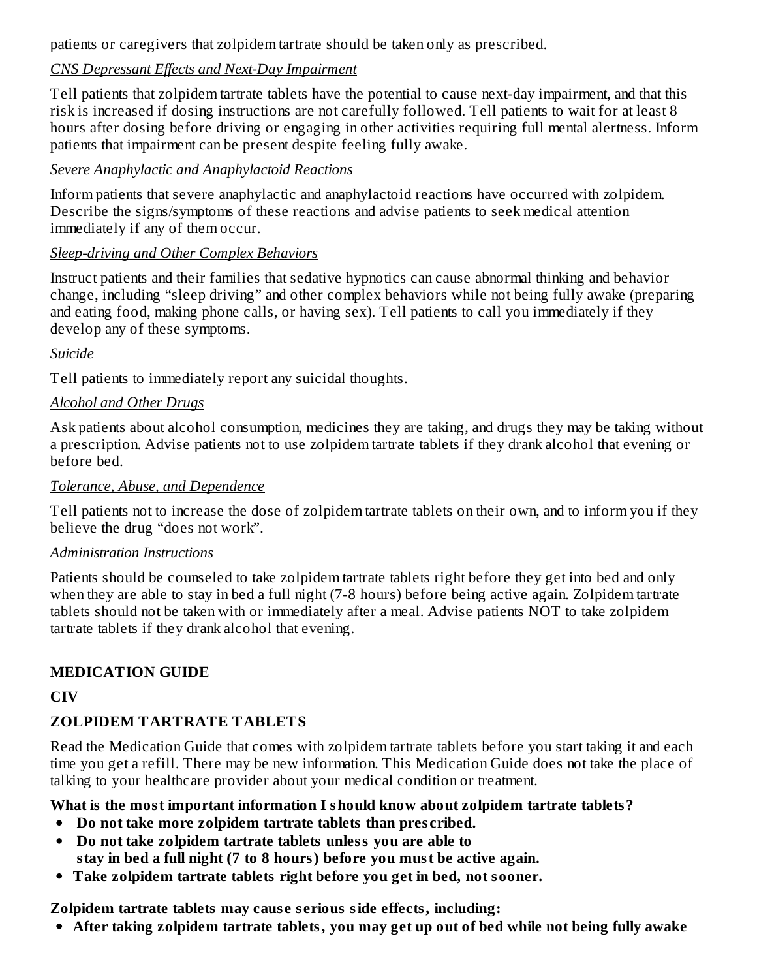patients or caregivers that zolpidem tartrate should be taken only as prescribed.

## *CNS Depressant Effects and Next-Day Impairment*

Tell patients that zolpidem tartrate tablets have the potential to cause next-day impairment, and that this risk is increased if dosing instructions are not carefully followed. Tell patients to wait for at least 8 hours after dosing before driving or engaging in other activities requiring full mental alertness. Inform patients that impairment can be present despite feeling fully awake.

#### *Severe Anaphylactic and Anaphylactoid Reactions*

Inform patients that severe anaphylactic and anaphylactoid reactions have occurred with zolpidem. Describe the signs/symptoms of these reactions and advise patients to seek medical attention immediately if any of them occur.

#### *Sleep-driving and Other Complex Behaviors*

Instruct patients and their families that sedative hypnotics can cause abnormal thinking and behavior change, including "sleep driving" and other complex behaviors while not being fully awake (preparing and eating food, making phone calls, or having sex). Tell patients to call you immediately if they develop any of these symptoms.

#### *Suicide*

Tell patients to immediately report any suicidal thoughts.

#### *Alcohol and Other Drugs*

Ask patients about alcohol consumption, medicines they are taking, and drugs they may be taking without a prescription. Advise patients not to use zolpidem tartrate tablets if they drank alcohol that evening or before bed.

#### *Tolerance, Abuse, and Dependence*

Tell patients not to increase the dose of zolpidem tartrate tablets on their own, and to inform you if they believe the drug "does not work".

#### *Administration Instructions*

Patients should be counseled to take zolpidem tartrate tablets right before they get into bed and only when they are able to stay in bed a full night (7-8 hours) before being active again. Zolpidem tartrate tablets should not be taken with or immediately after a meal. Advise patients NOT to take zolpidem tartrate tablets if they drank alcohol that evening.

## **MEDICATION GUIDE**

#### **CIV**

## **ZOLPIDEM TARTRATE TABLETS**

Read the Medication Guide that comes with zolpidem tartrate tablets before you start taking it and each time you get a refill. There may be new information. This Medication Guide does not take the place of talking to your healthcare provider about your medical condition or treatment.

#### **What is the most important information I should know about zolpidem tartrate tablets?**

- **Do not take more zolpidem tartrate tablets than pres cribed.**
- **Do not take zolpidem tartrate tablets unless you are able to stay in bed a full night (7 to 8 hours) before you must be active again.**
- **Take zolpidem tartrate tablets right before you get in bed, not sooner.**

**Zolpidem tartrate tablets may caus e s erious side effects, including:**

**After taking zolpidem tartrate tablets, you may get up out of bed while not being fully awake**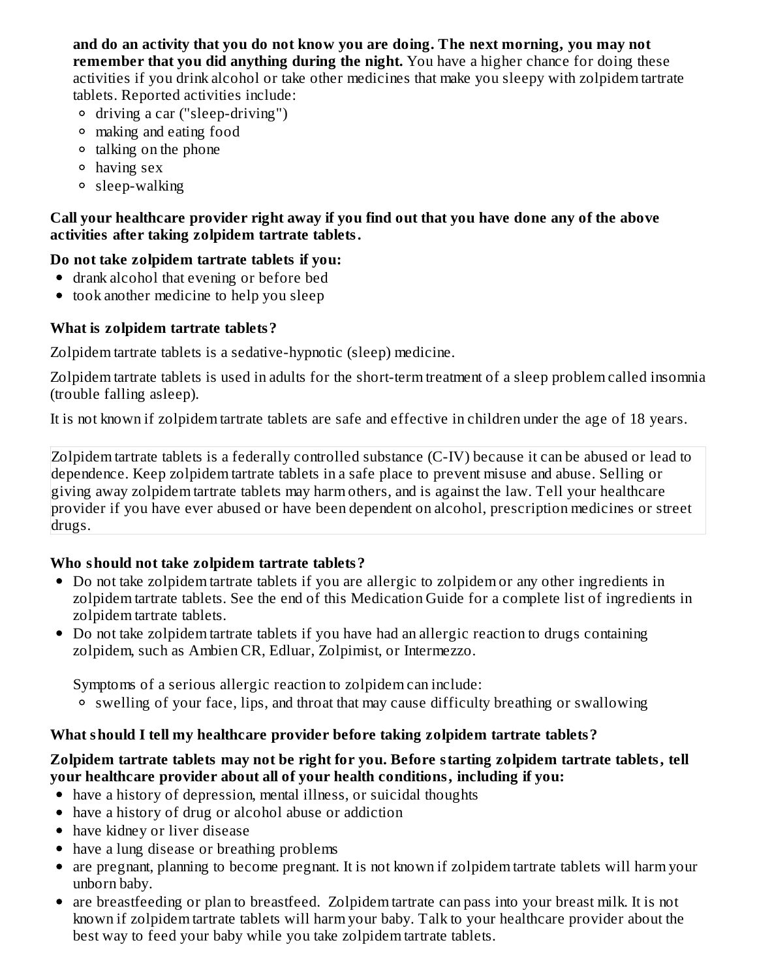**and do an activity that you do not know you are doing. The next morning, you may not remember that you did anything during the night.** You have a higher chance for doing these activities if you drink alcohol or take other medicines that make you sleepy with zolpidem tartrate tablets. Reported activities include:

- driving a car ("sleep-driving")
- making and eating food
- talking on the phone
- having sex
- sleep-walking

#### **Call your healthcare provider right away if you find out that you have done any of the above activities after taking zolpidem tartrate tablets.**

## **Do not take zolpidem tartrate tablets if you:**

- drank alcohol that evening or before bed
- took another medicine to help you sleep

## **What is zolpidem tartrate tablets?**

Zolpidem tartrate tablets is a sedative-hypnotic (sleep) medicine.

Zolpidem tartrate tablets is used in adults for the short-term treatment of a sleep problem called insomnia (trouble falling asleep).

It is not known if zolpidem tartrate tablets are safe and effective in children under the age of 18 years.

Zolpidem tartrate tablets is a federally controlled substance (C-IV) because it can be abused or lead to dependence. Keep zolpidem tartrate tablets in a safe place to prevent misuse and abuse. Selling or giving away zolpidem tartrate tablets may harm others, and is against the law. Tell your healthcare provider if you have ever abused or have been dependent on alcohol, prescription medicines or street drugs.

## **Who should not take zolpidem tartrate tablets?**

- Do not take zolpidem tartrate tablets if you are allergic to zolpidem or any other ingredients in zolpidem tartrate tablets. See the end of this Medication Guide for a complete list of ingredients in zolpidem tartrate tablets.
- Do not take zolpidem tartrate tablets if you have had an allergic reaction to drugs containing zolpidem, such as Ambien CR, Edluar, Zolpimist, or Intermezzo.

Symptoms of a serious allergic reaction to zolpidem can include:

swelling of your face, lips, and throat that may cause difficulty breathing or swallowing

## **What should I tell my healthcare provider before taking zolpidem tartrate tablets?**

#### **Zolpidem tartrate tablets may not be right for you. Before starting zolpidem tartrate tablets, tell your healthcare provider about all of your health conditions, including if you:**

- have a history of depression, mental illness, or suicidal thoughts
- have a history of drug or alcohol abuse or addiction
- have kidney or liver disease
- have a lung disease or breathing problems
- are pregnant, planning to become pregnant. It is not known if zolpidem tartrate tablets will harm your unborn baby.
- are breastfeeding or plan to breastfeed. Zolpidem tartrate can pass into your breast milk. It is not known if zolpidem tartrate tablets will harm your baby. Talk to your healthcare provider about the best way to feed your baby while you take zolpidem tartrate tablets.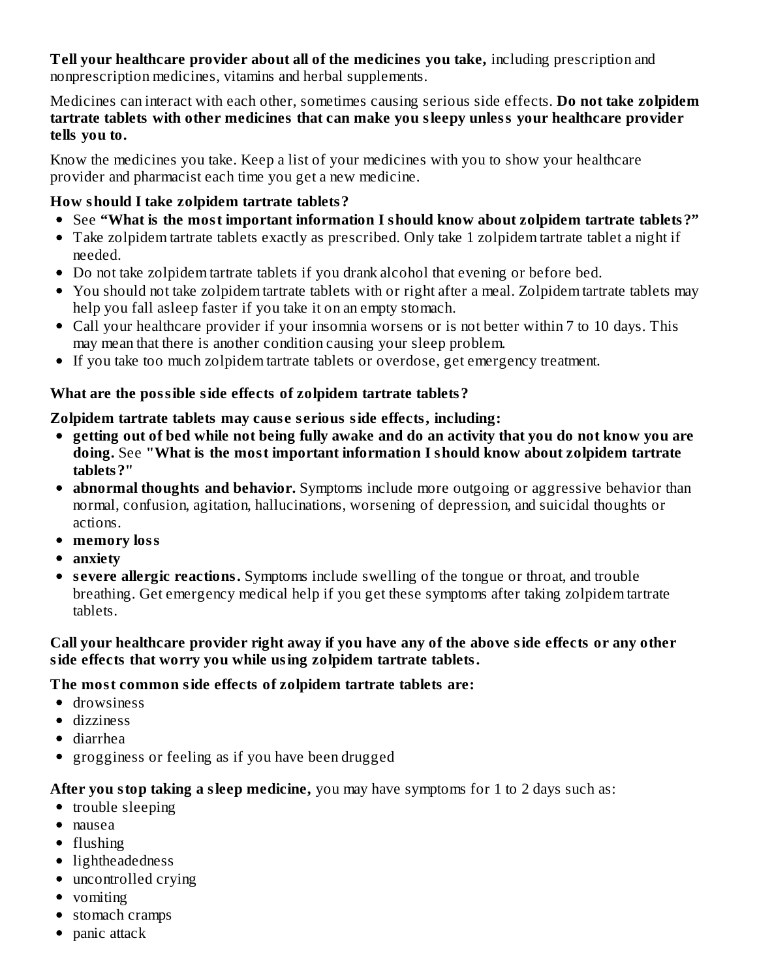**Tell your healthcare provider about all of the medicines you take,** including prescription and nonprescription medicines, vitamins and herbal supplements.

Medicines can interact with each other, sometimes causing serious side effects. **Do not take zolpidem tartrate tablets with other medicines that can make you sleepy unless your healthcare provider tells you to.**

Know the medicines you take. Keep a list of your medicines with you to show your healthcare provider and pharmacist each time you get a new medicine.

## **How should I take zolpidem tartrate tablets?**

- See **"What is the most important information I should know about zolpidem tartrate tablets?"**
- Take zolpidem tartrate tablets exactly as prescribed. Only take 1 zolpidem tartrate tablet a night if needed.
- Do not take zolpidem tartrate tablets if you drank alcohol that evening or before bed.
- You should not take zolpidem tartrate tablets with or right after a meal. Zolpidem tartrate tablets may help you fall asleep faster if you take it on an empty stomach.
- Call your healthcare provider if your insomnia worsens or is not better within 7 to 10 days. This may mean that there is another condition causing your sleep problem.
- If you take too much zolpidem tartrate tablets or overdose, get emergency treatment.

#### **What are the possible side effects of zolpidem tartrate tablets?**

#### **Zolpidem tartrate tablets may caus e s erious side effects, including:**

- getting out of bed while not being fully awake and do an activity that you do not know you are **doing.** See **"What is the most important information I should know about zolpidem tartrate tablets?"**
- **abnormal thoughts and behavior.** Symptoms include more outgoing or aggressive behavior than normal, confusion, agitation, hallucinations, worsening of depression, and suicidal thoughts or actions.
- **memory loss**
- **anxiety**
- **s evere allergic reactions.** Symptoms include swelling of the tongue or throat, and trouble breathing. Get emergency medical help if you get these symptoms after taking zolpidem tartrate tablets.

#### **Call your healthcare provider right away if you have any of the above side effects or any other side effects that worry you while using zolpidem tartrate tablets.**

#### **The most common side effects of zolpidem tartrate tablets are:**

- drowsiness
- dizziness
- diarrhea
- grogginess or feeling as if you have been drugged

#### **After you stop taking a sleep medicine,** you may have symptoms for 1 to 2 days such as:

- trouble sleeping
- nausea
- flushing
- lightheadedness
- uncontrolled crying
- vomiting
- stomach cramps
- panic attack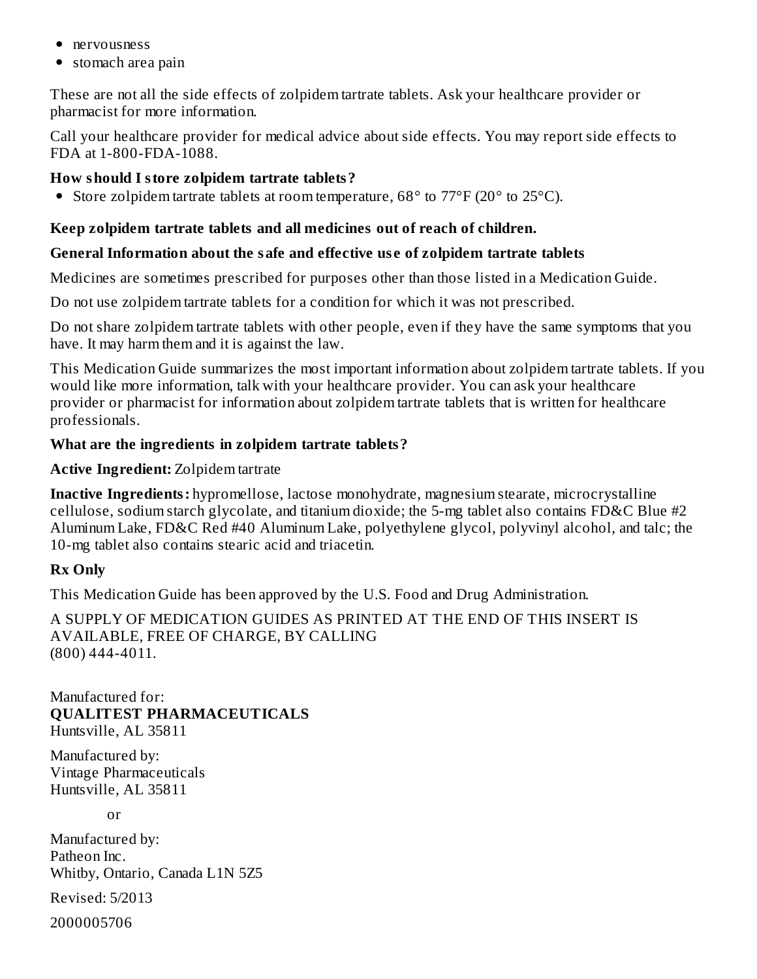- nervousness
- stomach area pain  $\bullet$

These are not all the side effects of zolpidem tartrate tablets. Ask your healthcare provider or pharmacist for more information.

Call your healthcare provider for medical advice about side effects. You may report side effects to FDA at 1-800-FDA-1088.

#### **How should I store zolpidem tartrate tablets?**

• Store zolpidem tartrate tablets at room temperature, 68° to 77°F (20° to 25°C).

#### **Keep zolpidem tartrate tablets and all medicines out of reach of children.**

#### **General Information about the safe and effective us e of zolpidem tartrate tablets**

Medicines are sometimes prescribed for purposes other than those listed in a Medication Guide.

Do not use zolpidem tartrate tablets for a condition for which it was not prescribed.

Do not share zolpidem tartrate tablets with other people, even if they have the same symptoms that you have. It may harm them and it is against the law.

This Medication Guide summarizes the most important information about zolpidem tartrate tablets. If you would like more information, talk with your healthcare provider. You can ask your healthcare provider or pharmacist for information about zolpidem tartrate tablets that is written for healthcare professionals.

#### **What are the ingredients in zolpidem tartrate tablets?**

**Active Ingredient:** Zolpidem tartrate

**Inactive Ingredients:** hypromellose, lactose monohydrate, magnesium stearate, microcrystalline cellulose, sodium starch glycolate, and titanium dioxide; the 5-mg tablet also contains FD&C Blue #2 Aluminum Lake, FD&C Red #40 Aluminum Lake, polyethylene glycol, polyvinyl alcohol, and talc; the 10-mg tablet also contains stearic acid and triacetin.

#### **Rx Only**

This Medication Guide has been approved by the U.S. Food and Drug Administration.

A SUPPLY OF MEDICATION GUIDES AS PRINTED AT THE END OF THIS INSERT IS AVAILABLE, FREE OF CHARGE, BY CALLING (800) 444-4011.

Manufactured for: **QUALITEST PHARMACEUTICALS** Huntsville, AL 35811

Manufactured by: Vintage Pharmaceuticals Huntsville, AL 35811

or

Manufactured by: Patheon Inc. Whitby, Ontario, Canada L1N 5Z5

Revised: 5/2013

2000005706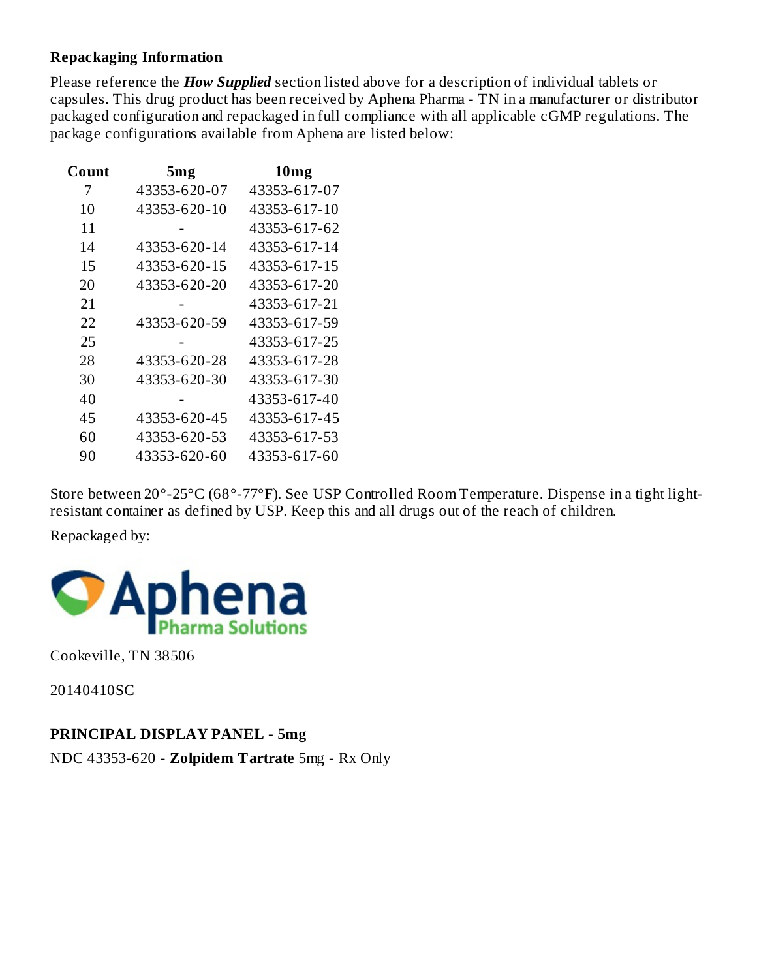#### **Repackaging Information**

Please reference the *How Supplied* section listed above for a description of individual tablets or capsules. This drug product has been received by Aphena Pharma - TN in a manufacturer or distributor packaged configuration and repackaged in full compliance with all applicable cGMP regulations. The package configurations available from Aphena are listed below:

| Count | 5 <sub>mg</sub> | 10 <sub>mg</sub> |
|-------|-----------------|------------------|
| 7     | 43353-620-07    | 43353-617-07     |
| 10    | 43353-620-10    | 43353-617-10     |
| 11    |                 | 43353-617-62     |
| 14    | 43353-620-14    | 43353-617-14     |
| 15    | 43353-620-15    | 43353-617-15     |
| 20    | 43353-620-20    | 43353-617-20     |
| 21    |                 | 43353-617-21     |
| 22    | 43353-620-59    | 43353-617-59     |
| 25    |                 | 43353-617-25     |
| 28    | 43353-620-28    | 43353-617-28     |
| 30    | 43353-620-30    | 43353-617-30     |
| 40    |                 | 43353-617-40     |
| 45    | 43353-620-45    | 43353-617-45     |
| 60    | 43353-620-53    | 43353-617-53     |
| 90    | 43353-620-60    | 43353-617-60     |

Store between 20°-25°C (68°-77°F). See USP Controlled Room Temperature. Dispense in a tight lightresistant container as defined by USP. Keep this and all drugs out of the reach of children.

Repackaged by:



Cookeville, TN 38506

20140410SC

#### **PRINCIPAL DISPLAY PANEL - 5mg**

NDC 43353-620 - **Zolpidem Tartrate** 5mg - Rx Only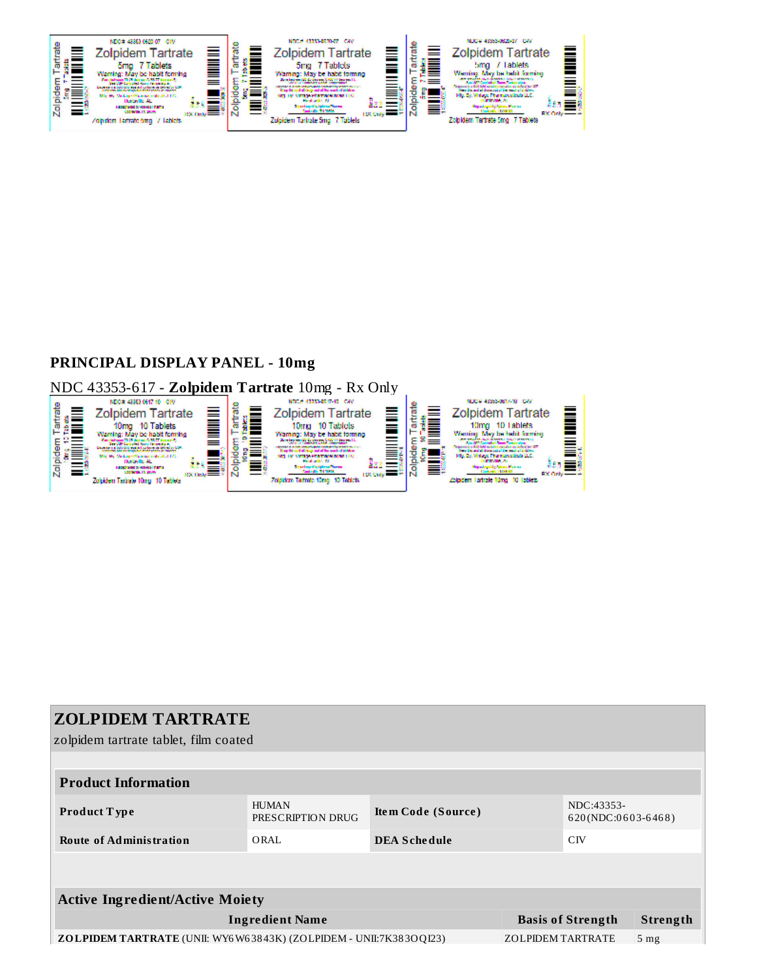**PRINCIPAL DISPLAY PANEL - 10mg**

NDC 43353-617 - **Zolpidem Tartrate** 10mg - Rx Only

zolpidem tartrate tablet, film coated

| <b>Product Information</b>                                               |                                   |                    |  |                                  |                 |
|--------------------------------------------------------------------------|-----------------------------------|--------------------|--|----------------------------------|-----------------|
| <b>Product Type</b>                                                      | <b>HUMAN</b><br>PRESCRIPTION DRUG | Item Code (Source) |  | NDC:43353-<br>620(NDC:0603-6468) |                 |
| ORAL.<br><b>Route of Administration</b><br><b>DEA Schedule</b>           |                                   | CIV                |  |                                  |                 |
|                                                                          |                                   |                    |  |                                  |                 |
| <b>Active Ingredient/Active Moiety</b>                                   |                                   |                    |  |                                  |                 |
| <b>Ingredient Name</b><br><b>Basis of Strength</b><br>Strength           |                                   |                    |  |                                  |                 |
| <b>ZOLPIDEM TARTRATE</b> (UNII: WY6W63843K) (ZOLPIDEM - UNII:7K383OQI23) |                                   |                    |  | ZOLPIDEM TARTRATE                | 5 <sub>mg</sub> |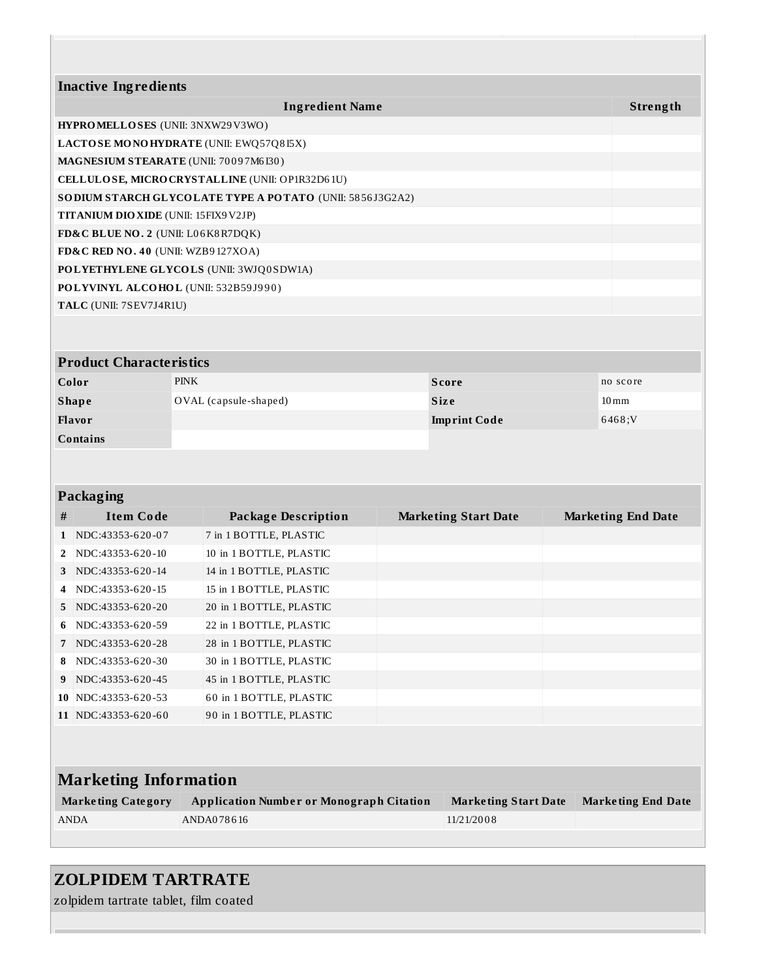| <b>Inactive Ingredients</b>                               |          |
|-----------------------------------------------------------|----------|
| <b>Ingredient Name</b>                                    | Strength |
| HYPROMELLOSES (UNII: 3NXW29V3WO)                          |          |
| <b>LACTOSE MONOHYDRATE (UNII: EWQ57Q8I5X)</b>             |          |
| <b>MAGNESIUM STEARATE (UNII: 70097M6I30)</b>              |          |
| CELLULOSE, MICRO CRYSTALLINE (UNII: OP1R32D61U)           |          |
| SO DIUM STARCH GLYCOLATE TYPE A POTATO (UNII: 5856J3G2A2) |          |
| <b>TITANIUM DIO XIDE</b> (UNII: 15FIX9 V2JP)              |          |
| FD&C BLUE NO. 2 (UNII: L06K8R7DQK)                        |          |
| FD&C RED NO. 40 (UNII: WZB9127XOA)                        |          |
| <b>POLYETHYLENE GLYCOLS (UNII: 3WJQ0SDW1A)</b>            |          |
| POLYVINYL ALCOHOL (UNII: 532B59J990)                      |          |
| TALC (UNII: 7SEV7J4R1U)                                   |          |
|                                                           |          |

| <b>Product Characteristics</b> |                       |                     |                    |  |  |
|--------------------------------|-----------------------|---------------------|--------------------|--|--|
| Color                          | <b>PINK</b>           | Score               | no score           |  |  |
| Shape                          | OVAL (capsule-shaped) | <b>Size</b>         | $10 \,\mathrm{mm}$ |  |  |
| Flavor                         |                       | <b>Imprint Code</b> | 6468;V             |  |  |
| <b>Contains</b>                |                       |                     |                    |  |  |

| <b>Packaging</b> |
|------------------|
|------------------|

| #            | Item Code             | Package Description     | <b>Marketing Start Date</b> | <b>Marketing End Date</b> |
|--------------|-----------------------|-------------------------|-----------------------------|---------------------------|
| $\mathbf{1}$ | NDC:43353-620-07      | 7 in 1 BOTTLE, PLASTIC  |                             |                           |
| $2^{\circ}$  | NDC:43353-620-10      | 10 in 1 BOTTLE, PLASTIC |                             |                           |
| 3            | NDC:43353-620-14      | 14 in 1 BOTTLE, PLASTIC |                             |                           |
| 4            | NDC:43353-620-15      | 15 in 1 BOTTLE, PLASTIC |                             |                           |
| 5.           | NDC:43353-620-20      | 20 in 1 BOTTLE, PLASTIC |                             |                           |
| 6            | NDC:43353-620-59      | 22 in 1 BOTTLE, PLASTIC |                             |                           |
|              | NDC:43353-620-28      | 28 in 1 BOTTLE, PLASTIC |                             |                           |
| 8            | NDC:43353-620-30      | 30 in 1 BOTTLE, PLASTIC |                             |                           |
| 9            | NDC:43353-620-45      | 45 in 1 BOTTLE, PLASTIC |                             |                           |
|              | 10 NDC:43353-620-53   | 60 in 1 BOTTLE, PLASTIC |                             |                           |
|              | $11$ NDC:43353-620-60 | 90 in 1 BOTTLE, PLASTIC |                             |                           |

| <b>Marketing Information</b> |                                                 |                             |                           |  |  |
|------------------------------|-------------------------------------------------|-----------------------------|---------------------------|--|--|
| <b>Marketing Category</b>    | <b>Application Number or Monograph Citation</b> | <b>Marketing Start Date</b> | <b>Marketing End Date</b> |  |  |
| ANDA                         | ANDA078616                                      | 11/21/2008                  |                           |  |  |

# **ZOLPIDEM TARTRATE**

zolpidem tartrate tablet, film coated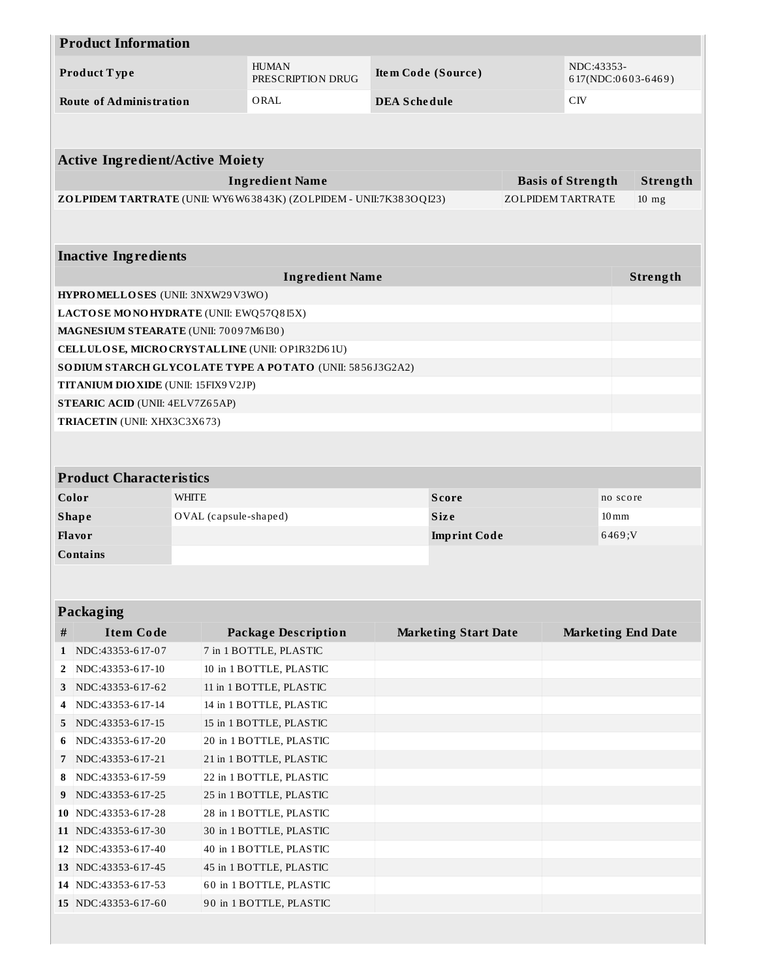| <b>Product Information</b>             |                                        |              |                                                                   |                     |                             |                          |                                  |          |  |  |  |  |
|----------------------------------------|----------------------------------------|--------------|-------------------------------------------------------------------|---------------------|-----------------------------|--------------------------|----------------------------------|----------|--|--|--|--|
|                                        | Product Type                           |              | <b>HUMAN</b><br>PRESCRIPTION DRUG                                 | Item Code (Source)  |                             |                          | NDC:43353-<br>617(NDC:0603-6469) |          |  |  |  |  |
|                                        | <b>Route of Administration</b>         |              | ORAL                                                              | <b>DEA Schedule</b> |                             | CIV                      |                                  |          |  |  |  |  |
|                                        |                                        |              |                                                                   |                     |                             |                          |                                  |          |  |  |  |  |
|                                        |                                        |              |                                                                   |                     |                             |                          |                                  |          |  |  |  |  |
| <b>Active Ingredient/Active Moiety</b> |                                        |              |                                                                   |                     |                             |                          |                                  |          |  |  |  |  |
|                                        |                                        |              | <b>Ingredient Name</b>                                            |                     |                             | <b>Basis of Strength</b> |                                  | Strength |  |  |  |  |
|                                        |                                        |              | ZOLPIDEM TARTRATE (UNII: WY6W63843K) (ZOLPIDEM - UNII:7K383OQI23) |                     |                             | <b>ZOLPIDEM TARTRATE</b> |                                  | $10$ mg  |  |  |  |  |
|                                        |                                        |              |                                                                   |                     |                             |                          |                                  |          |  |  |  |  |
|                                        |                                        |              |                                                                   |                     |                             |                          |                                  |          |  |  |  |  |
| <b>Inactive Ingredients</b>            |                                        |              |                                                                   |                     |                             |                          |                                  |          |  |  |  |  |
|                                        |                                        |              | <b>Ingredient Name</b>                                            |                     |                             |                          |                                  | Strength |  |  |  |  |
|                                        | HYPROMELLOSES (UNII: 3NXW29V3WO)       |              |                                                                   |                     |                             |                          |                                  |          |  |  |  |  |
|                                        | LACTOSE MONOHYDRATE (UNII: EWQ57Q8I5X) |              |                                                                   |                     |                             |                          |                                  |          |  |  |  |  |
|                                        | MAGNESIUM STEARATE (UNII: 70097M6I30)  |              |                                                                   |                     |                             |                          |                                  |          |  |  |  |  |
|                                        |                                        |              | CELLULOSE, MICRO CRYSTALLINE (UNII: OP1R32D61U)                   |                     |                             |                          |                                  |          |  |  |  |  |
|                                        |                                        |              | SODIUM STARCH GLYCOLATE TYPE A POTATO (UNII: 5856J3G2A2)          |                     |                             |                          |                                  |          |  |  |  |  |
|                                        | TITANIUM DIO XIDE (UNII: 15FIX9V2JP)   |              |                                                                   |                     |                             |                          |                                  |          |  |  |  |  |
|                                        | STEARIC ACID (UNII: 4ELV7Z65AP)        |              |                                                                   |                     |                             |                          |                                  |          |  |  |  |  |
|                                        | TRIACETIN (UNII: XHX3C3X673)           |              |                                                                   |                     |                             |                          |                                  |          |  |  |  |  |
|                                        |                                        |              |                                                                   |                     |                             |                          |                                  |          |  |  |  |  |
|                                        | <b>Product Characteristics</b>         |              |                                                                   |                     |                             |                          |                                  |          |  |  |  |  |
|                                        |                                        |              |                                                                   |                     |                             |                          |                                  |          |  |  |  |  |
| Color                                  |                                        | <b>WHITE</b> |                                                                   | <b>Score</b>        |                             | no score                 |                                  |          |  |  |  |  |
| <b>Shape</b>                           |                                        |              | OVAL (capsule-shaped)                                             |                     | <b>Size</b>                 |                          | $10 \,\mathrm{mm}$               |          |  |  |  |  |
| Flavor                                 |                                        |              |                                                                   |                     | <b>Imprint Code</b>         |                          |                                  | 6469;V   |  |  |  |  |
|                                        | <b>Contains</b>                        |              |                                                                   |                     |                             |                          |                                  |          |  |  |  |  |
|                                        |                                        |              |                                                                   |                     |                             |                          |                                  |          |  |  |  |  |
|                                        | Packaging                              |              |                                                                   |                     |                             |                          |                                  |          |  |  |  |  |
| $^{\#}$                                | <b>Item Code</b>                       |              | <b>Package Description</b>                                        |                     | <b>Marketing Start Date</b> |                          | <b>Marketing End Date</b>        |          |  |  |  |  |
| $\mathbf{1}$                           | NDC:43353-617-07                       |              | 7 in 1 BOTTLE, PLASTIC                                            |                     |                             |                          |                                  |          |  |  |  |  |
| 2                                      | NDC:43353-617-10                       |              | 10 in 1 BOTTLE, PLASTIC                                           |                     |                             |                          |                                  |          |  |  |  |  |
| 3                                      | NDC:43353-617-62                       |              | 11 in 1 BOTTLE, PLASTIC                                           |                     |                             |                          |                                  |          |  |  |  |  |
| 4                                      | NDC:43353-617-14                       |              | 14 in 1 BOTTLE, PLASTIC                                           |                     |                             |                          |                                  |          |  |  |  |  |
| 5.                                     | NDC:43353-617-15                       |              | 15 in 1 BOTTLE, PLASTIC                                           |                     |                             |                          |                                  |          |  |  |  |  |
| 6                                      | NDC:43353-617-20                       |              | 20 in 1 BOTTLE, PLASTIC                                           |                     |                             |                          |                                  |          |  |  |  |  |
|                                        | 7 NDC:43353-617-21                     |              | 21 in 1 BOTTLE, PLASTIC                                           |                     |                             |                          |                                  |          |  |  |  |  |
| 8                                      | NDC:43353-617-59                       |              | 22 in 1 BOTTLE, PLASTIC                                           |                     |                             |                          |                                  |          |  |  |  |  |
| 9                                      | NDC:43353-617-25                       |              | 25 in 1 BOTTLE, PLASTIC                                           |                     |                             |                          |                                  |          |  |  |  |  |
| 10                                     | NDC:43353-617-28                       |              | 28 in 1 BOTTLE, PLASTIC                                           |                     |                             |                          |                                  |          |  |  |  |  |
|                                        | 11 NDC:43353-617-30                    |              | 30 in 1 BOTTLE, PLASTIC                                           |                     |                             |                          |                                  |          |  |  |  |  |
| 12 <sub>1</sub>                        | NDC:43353-617-40                       |              | 40 in 1 BOTTLE, PLASTIC                                           |                     |                             |                          |                                  |          |  |  |  |  |
|                                        | 13 NDC:43353-617-45                    |              | 45 in 1 BOTTLE, PLASTIC                                           |                     |                             |                          |                                  |          |  |  |  |  |
|                                        | 14 NDC:43353-617-53                    |              | 60 in 1 BOTTLE, PLASTIC                                           |                     |                             |                          |                                  |          |  |  |  |  |
|                                        | 15 NDC:43353-617-60                    |              | 90 in 1 BOTTLE, PLASTIC                                           |                     |                             |                          |                                  |          |  |  |  |  |
|                                        |                                        |              |                                                                   |                     |                             |                          |                                  |          |  |  |  |  |